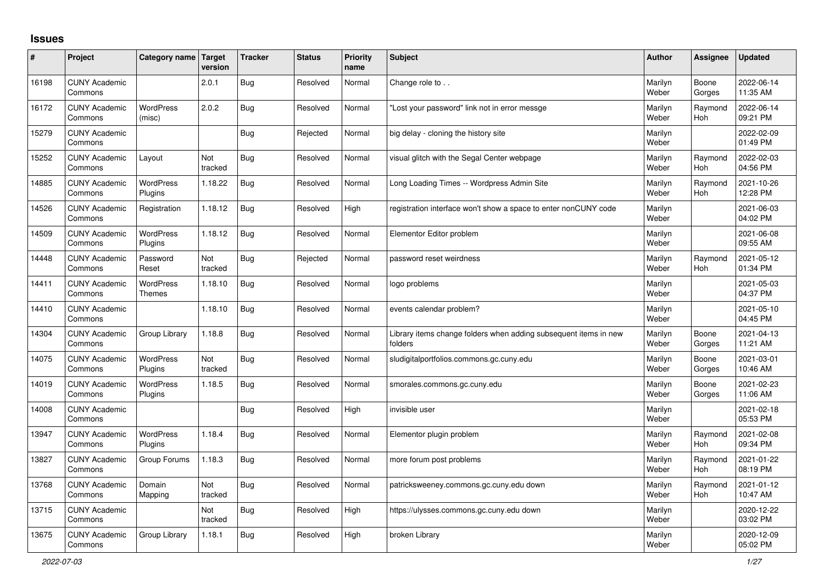## **Issues**

| #     | Project                         | Category name                     | Target<br>version | <b>Tracker</b> | <b>Status</b> | <b>Priority</b><br>name | <b>Subject</b>                                                              | <b>Author</b>    | Assignee              | <b>Updated</b>         |
|-------|---------------------------------|-----------------------------------|-------------------|----------------|---------------|-------------------------|-----------------------------------------------------------------------------|------------------|-----------------------|------------------------|
| 16198 | <b>CUNY Academic</b><br>Commons |                                   | 2.0.1             | <b>Bug</b>     | Resolved      | Normal                  | Change role to                                                              | Marilyn<br>Weber | Boone<br>Gorges       | 2022-06-14<br>11:35 AM |
| 16172 | <b>CUNY Academic</b><br>Commons | <b>WordPress</b><br>(misc)        | 2.0.2             | <b>Bug</b>     | Resolved      | Normal                  | 'Lost your password" link not in error messge                               | Marilyn<br>Weber | Raymond<br><b>Hoh</b> | 2022-06-14<br>09:21 PM |
| 15279 | <b>CUNY Academic</b><br>Commons |                                   |                   | <b>Bug</b>     | Rejected      | Normal                  | big delay - cloning the history site                                        | Marilyn<br>Weber |                       | 2022-02-09<br>01:49 PM |
| 15252 | <b>CUNY Academic</b><br>Commons | Layout                            | Not<br>tracked    | <b>Bug</b>     | Resolved      | Normal                  | visual glitch with the Segal Center webpage                                 | Marilyn<br>Weber | Raymond<br><b>Hoh</b> | 2022-02-03<br>04:56 PM |
| 14885 | <b>CUNY Academic</b><br>Commons | WordPress<br>Plugins              | 1.18.22           | Bug            | Resolved      | Normal                  | Long Loading Times -- Wordpress Admin Site                                  | Marilyn<br>Weber | Raymond<br><b>Hoh</b> | 2021-10-26<br>12:28 PM |
| 14526 | <b>CUNY Academic</b><br>Commons | Registration                      | 1.18.12           | <b>Bug</b>     | Resolved      | High                    | registration interface won't show a space to enter nonCUNY code             | Marilyn<br>Weber |                       | 2021-06-03<br>04:02 PM |
| 14509 | <b>CUNY Academic</b><br>Commons | <b>WordPress</b><br>Plugins       | 1.18.12           | <b>Bug</b>     | Resolved      | Normal                  | Elementor Editor problem                                                    | Marilyn<br>Weber |                       | 2021-06-08<br>09:55 AM |
| 14448 | <b>CUNY Academic</b><br>Commons | Password<br>Reset                 | Not<br>tracked    | <b>Bug</b>     | Rejected      | Normal                  | password reset weirdness                                                    | Marilyn<br>Weber | Raymond<br><b>Hoh</b> | 2021-05-12<br>01:34 PM |
| 14411 | <b>CUNY Academic</b><br>Commons | <b>WordPress</b><br><b>Themes</b> | 1.18.10           | <b>Bug</b>     | Resolved      | Normal                  | logo problems                                                               | Marilyn<br>Weber |                       | 2021-05-03<br>04:37 PM |
| 14410 | <b>CUNY Academic</b><br>Commons |                                   | 1.18.10           | <b>Bug</b>     | Resolved      | Normal                  | events calendar problem?                                                    | Marilyn<br>Weber |                       | 2021-05-10<br>04:45 PM |
| 14304 | <b>CUNY Academic</b><br>Commons | Group Library                     | 1.18.8            | <b>Bug</b>     | Resolved      | Normal                  | Library items change folders when adding subsequent items in new<br>folders | Marilyn<br>Weber | Boone<br>Gorges       | 2021-04-13<br>11:21 AM |
| 14075 | <b>CUNY Academic</b><br>Commons | WordPress<br>Plugins              | Not<br>tracked    | <b>Bug</b>     | Resolved      | Normal                  | sludigitalportfolios.commons.gc.cuny.edu                                    | Marilyn<br>Weber | Boone<br>Gorges       | 2021-03-01<br>10:46 AM |
| 14019 | <b>CUNY Academic</b><br>Commons | <b>WordPress</b><br>Plugins       | 1.18.5            | <b>Bug</b>     | Resolved      | Normal                  | smorales.commons.gc.cuny.edu                                                | Marilyn<br>Weber | Boone<br>Gorges       | 2021-02-23<br>11:06 AM |
| 14008 | <b>CUNY Academic</b><br>Commons |                                   |                   | <b>Bug</b>     | Resolved      | High                    | invisible user                                                              | Marilyn<br>Weber |                       | 2021-02-18<br>05:53 PM |
| 13947 | <b>CUNY Academic</b><br>Commons | WordPress<br>Plugins              | 1.18.4            | <b>Bug</b>     | Resolved      | Normal                  | Elementor plugin problem                                                    | Marilyn<br>Weber | Raymond<br><b>Hoh</b> | 2021-02-08<br>09:34 PM |
| 13827 | <b>CUNY Academic</b><br>Commons | Group Forums                      | 1.18.3            | <b>Bug</b>     | Resolved      | Normal                  | more forum post problems                                                    | Marilyn<br>Weber | Raymond<br><b>Hoh</b> | 2021-01-22<br>08:19 PM |
| 13768 | <b>CUNY Academic</b><br>Commons | Domain<br>Mapping                 | Not<br>tracked    | <b>Bug</b>     | Resolved      | Normal                  | patricksweeney.commons.gc.cuny.edu down                                     | Marilyn<br>Weber | Raymond<br><b>Hoh</b> | 2021-01-12<br>10:47 AM |
| 13715 | <b>CUNY Academic</b><br>Commons |                                   | Not<br>tracked    | <b>Bug</b>     | Resolved      | High                    | https://ulysses.commons.gc.cuny.edu down                                    | Marilyn<br>Weber |                       | 2020-12-22<br>03:02 PM |
| 13675 | <b>CUNY Academic</b><br>Commons | Group Library                     | 1.18.1            | <b>Bug</b>     | Resolved      | High                    | broken Library                                                              | Marilyn<br>Weber |                       | 2020-12-09<br>05:02 PM |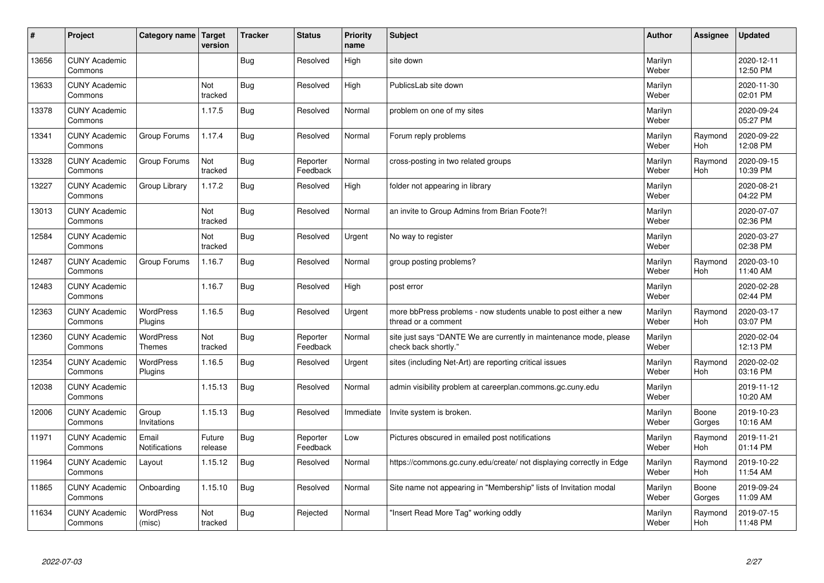| #     | Project                         | Category name   Target            | version           | <b>Tracker</b> | <b>Status</b>        | <b>Priority</b><br>name | <b>Subject</b>                                                                             | <b>Author</b>    | Assignee              | <b>Updated</b>         |
|-------|---------------------------------|-----------------------------------|-------------------|----------------|----------------------|-------------------------|--------------------------------------------------------------------------------------------|------------------|-----------------------|------------------------|
| 13656 | <b>CUNY Academic</b><br>Commons |                                   |                   | Bug            | Resolved             | High                    | site down                                                                                  | Marilyn<br>Weber |                       | 2020-12-11<br>12:50 PM |
| 13633 | <b>CUNY Academic</b><br>Commons |                                   | Not<br>tracked    | <b>Bug</b>     | Resolved             | High                    | PublicsLab site down                                                                       | Marilyn<br>Weber |                       | 2020-11-30<br>02:01 PM |
| 13378 | <b>CUNY Academic</b><br>Commons |                                   | 1.17.5            | Bug            | Resolved             | Normal                  | problem on one of my sites                                                                 | Marilyn<br>Weber |                       | 2020-09-24<br>05:27 PM |
| 13341 | <b>CUNY Academic</b><br>Commons | Group Forums                      | 1.17.4            | <b>Bug</b>     | Resolved             | Normal                  | Forum reply problems                                                                       | Marilyn<br>Weber | Raymond<br>Hoh        | 2020-09-22<br>12:08 PM |
| 13328 | <b>CUNY Academic</b><br>Commons | Group Forums                      | Not<br>tracked    | Bug            | Reporter<br>Feedback | Normal                  | cross-posting in two related groups                                                        | Marilyn<br>Weber | Raymond<br><b>Hoh</b> | 2020-09-15<br>10:39 PM |
| 13227 | <b>CUNY Academic</b><br>Commons | Group Library                     | 1.17.2            | Bug            | Resolved             | High                    | folder not appearing in library                                                            | Marilyn<br>Weber |                       | 2020-08-21<br>04:22 PM |
| 13013 | <b>CUNY Academic</b><br>Commons |                                   | Not<br>tracked    | Bug            | Resolved             | Normal                  | an invite to Group Admins from Brian Foote?!                                               | Marilyn<br>Weber |                       | 2020-07-07<br>02:36 PM |
| 12584 | <b>CUNY Academic</b><br>Commons |                                   | Not<br>tracked    | Bug            | Resolved             | Urgent                  | No way to register                                                                         | Marilyn<br>Weber |                       | 2020-03-27<br>02:38 PM |
| 12487 | <b>CUNY Academic</b><br>Commons | Group Forums                      | 1.16.7            | <b>Bug</b>     | Resolved             | Normal                  | group posting problems?                                                                    | Marilyn<br>Weber | Raymond<br><b>Hoh</b> | 2020-03-10<br>11:40 AM |
| 12483 | <b>CUNY Academic</b><br>Commons |                                   | 1.16.7            | <b>Bug</b>     | Resolved             | High                    | post error                                                                                 | Marilyn<br>Weber |                       | 2020-02-28<br>02:44 PM |
| 12363 | <b>CUNY Academic</b><br>Commons | <b>WordPress</b><br>Plugins       | 1.16.5            | Bug            | Resolved             | Urgent                  | more bbPress problems - now students unable to post either a new<br>thread or a comment    | Marilyn<br>Weber | Raymond<br>Hoh        | 2020-03-17<br>03:07 PM |
| 12360 | <b>CUNY Academic</b><br>Commons | <b>WordPress</b><br><b>Themes</b> | Not<br>tracked    | Bug            | Reporter<br>Feedback | Normal                  | site just says "DANTE We are currently in maintenance mode, please<br>check back shortly." | Marilyn<br>Weber |                       | 2020-02-04<br>12:13 PM |
| 12354 | <b>CUNY Academic</b><br>Commons | <b>WordPress</b><br>Plugins       | 1.16.5            | Bug            | Resolved             | Urgent                  | sites (including Net-Art) are reporting critical issues                                    | Marilyn<br>Weber | Raymond<br>Hoh        | 2020-02-02<br>03:16 PM |
| 12038 | <b>CUNY Academic</b><br>Commons |                                   | 1.15.13           | Bug            | Resolved             | Normal                  | admin visibility problem at careerplan.commons.gc.cuny.edu                                 | Marilyn<br>Weber |                       | 2019-11-12<br>10:20 AM |
| 12006 | <b>CUNY Academic</b><br>Commons | Group<br>Invitations              | 1.15.13           | Bug            | Resolved             | Immediate               | Invite system is broken.                                                                   | Marilyn<br>Weber | Boone<br>Gorges       | 2019-10-23<br>10:16 AM |
| 11971 | <b>CUNY Academic</b><br>Commons | Email<br>Notifications            | Future<br>release | Bug            | Reporter<br>Feedback | Low                     | Pictures obscured in emailed post notifications                                            | Marilyn<br>Weber | Raymond<br><b>Hoh</b> | 2019-11-21<br>01:14 PM |
| 11964 | <b>CUNY Academic</b><br>Commons | Layout                            | 1.15.12           | Bug            | Resolved             | Normal                  | https://commons.gc.cuny.edu/create/ not displaying correctly in Edge                       | Marilyn<br>Weber | Raymond<br><b>Hoh</b> | 2019-10-22<br>11:54 AM |
| 11865 | <b>CUNY Academic</b><br>Commons | Onboarding                        | 1.15.10           | Bug            | Resolved             | Normal                  | Site name not appearing in "Membership" lists of Invitation modal                          | Marilyn<br>Weber | Boone<br>Gorges       | 2019-09-24<br>11:09 AM |
| 11634 | <b>CUNY Academic</b><br>Commons | <b>WordPress</b><br>(misc)        | Not<br>tracked    | Bug            | Rejected             | Normal                  | 'Insert Read More Tag" working oddly                                                       | Marilyn<br>Weber | Raymond<br><b>Hoh</b> | 2019-07-15<br>11:48 PM |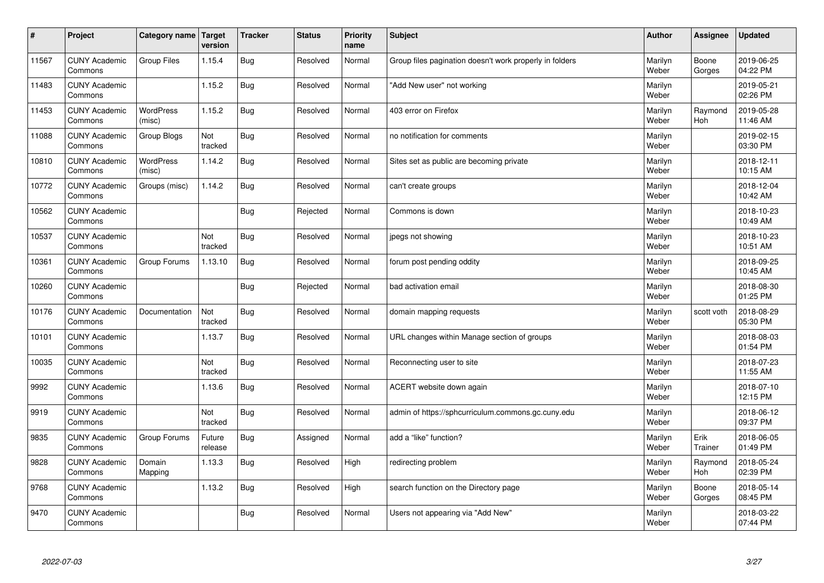| $\vert$ # | Project                         | Category name   Target     | version           | <b>Tracker</b> | <b>Status</b> | <b>Priority</b><br>name | <b>Subject</b>                                          | <b>Author</b>    | Assignee              | <b>Updated</b>         |
|-----------|---------------------------------|----------------------------|-------------------|----------------|---------------|-------------------------|---------------------------------------------------------|------------------|-----------------------|------------------------|
| 11567     | <b>CUNY Academic</b><br>Commons | Group Files                | 1.15.4            | Bug            | Resolved      | Normal                  | Group files pagination doesn't work properly in folders | Marilyn<br>Weber | Boone<br>Gorges       | 2019-06-25<br>04:22 PM |
| 11483     | <b>CUNY Academic</b><br>Commons |                            | 1.15.2            | Bug            | Resolved      | Normal                  | 'Add New user" not working                              | Marilyn<br>Weber |                       | 2019-05-21<br>02:26 PM |
| 11453     | <b>CUNY Academic</b><br>Commons | <b>WordPress</b><br>(misc) | 1.15.2            | Bug            | Resolved      | Normal                  | 403 error on Firefox                                    | Marilyn<br>Weber | Raymond<br><b>Hoh</b> | 2019-05-28<br>11:46 AM |
| 11088     | <b>CUNY Academic</b><br>Commons | Group Blogs                | Not<br>tracked    | Bug            | Resolved      | Normal                  | no notification for comments                            | Marilyn<br>Weber |                       | 2019-02-15<br>03:30 PM |
| 10810     | <b>CUNY Academic</b><br>Commons | <b>WordPress</b><br>(misc) | 1.14.2            | Bug            | Resolved      | Normal                  | Sites set as public are becoming private                | Marilyn<br>Weber |                       | 2018-12-11<br>10:15 AM |
| 10772     | <b>CUNY Academic</b><br>Commons | Groups (misc)              | 1.14.2            | <b>Bug</b>     | Resolved      | Normal                  | can't create groups                                     | Marilyn<br>Weber |                       | 2018-12-04<br>10:42 AM |
| 10562     | <b>CUNY Academic</b><br>Commons |                            |                   | Bug            | Rejected      | Normal                  | Commons is down                                         | Marilyn<br>Weber |                       | 2018-10-23<br>10:49 AM |
| 10537     | <b>CUNY Academic</b><br>Commons |                            | Not<br>tracked    | Bug            | Resolved      | Normal                  | jpegs not showing                                       | Marilyn<br>Weber |                       | 2018-10-23<br>10:51 AM |
| 10361     | <b>CUNY Academic</b><br>Commons | Group Forums               | 1.13.10           | Bug            | Resolved      | Normal                  | forum post pending oddity                               | Marilyn<br>Weber |                       | 2018-09-25<br>10:45 AM |
| 10260     | <b>CUNY Academic</b><br>Commons |                            |                   | Bug            | Rejected      | Normal                  | bad activation email                                    | Marilyn<br>Weber |                       | 2018-08-30<br>01:25 PM |
| 10176     | <b>CUNY Academic</b><br>Commons | Documentation              | Not<br>tracked    | Bug            | Resolved      | Normal                  | domain mapping requests                                 | Marilyn<br>Weber | scott voth            | 2018-08-29<br>05:30 PM |
| 10101     | <b>CUNY Academic</b><br>Commons |                            | 1.13.7            | <b>Bug</b>     | Resolved      | Normal                  | URL changes within Manage section of groups             | Marilyn<br>Weber |                       | 2018-08-03<br>01:54 PM |
| 10035     | <b>CUNY Academic</b><br>Commons |                            | Not<br>tracked    | <b>Bug</b>     | Resolved      | Normal                  | Reconnecting user to site                               | Marilyn<br>Weber |                       | 2018-07-23<br>11:55 AM |
| 9992      | <b>CUNY Academic</b><br>Commons |                            | 1.13.6            | Bug            | Resolved      | Normal                  | ACERT website down again                                | Marilyn<br>Weber |                       | 2018-07-10<br>12:15 PM |
| 9919      | <b>CUNY Academic</b><br>Commons |                            | Not<br>tracked    | Bug            | Resolved      | Normal                  | admin of https://sphcurriculum.commons.gc.cuny.edu      | Marilyn<br>Weber |                       | 2018-06-12<br>09:37 PM |
| 9835      | <b>CUNY Academic</b><br>Commons | Group Forums               | Future<br>release | Bug            | Assigned      | Normal                  | add a "like" function?                                  | Marilyn<br>Weber | Erik<br>Trainer       | 2018-06-05<br>01:49 PM |
| 9828      | <b>CUNY Academic</b><br>Commons | Domain<br>Mapping          | 1.13.3            | Bug            | Resolved      | High                    | redirecting problem                                     | Marilyn<br>Weber | Raymond<br>Hoh        | 2018-05-24<br>02:39 PM |
| 9768      | <b>CUNY Academic</b><br>Commons |                            | 1.13.2            | Bug            | Resolved      | High                    | search function on the Directory page                   | Marilyn<br>Weber | Boone<br>Gorges       | 2018-05-14<br>08:45 PM |
| 9470      | <b>CUNY Academic</b><br>Commons |                            |                   | Bug            | Resolved      | Normal                  | Users not appearing via "Add New"                       | Marilyn<br>Weber |                       | 2018-03-22<br>07:44 PM |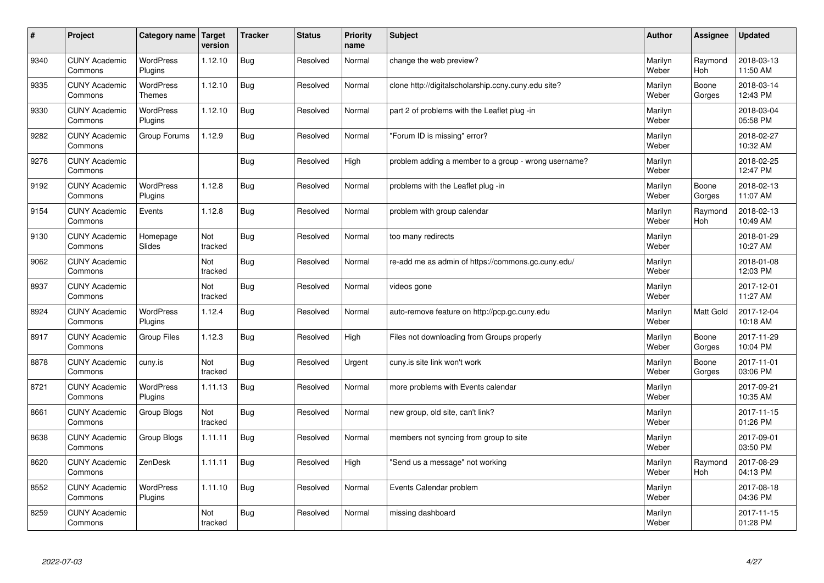| #    | Project                         | Category name   Target            | version        | <b>Tracker</b> | <b>Status</b> | <b>Priority</b><br>name | <b>Subject</b>                                       | <b>Author</b>    | <b>Assignee</b>       | <b>Updated</b>         |
|------|---------------------------------|-----------------------------------|----------------|----------------|---------------|-------------------------|------------------------------------------------------|------------------|-----------------------|------------------------|
| 9340 | <b>CUNY Academic</b><br>Commons | <b>WordPress</b><br>Plugins       | 1.12.10        | Bug            | Resolved      | Normal                  | change the web preview?                              | Marilyn<br>Weber | Raymond<br><b>Hoh</b> | 2018-03-13<br>11:50 AM |
| 9335 | <b>CUNY Academic</b><br>Commons | <b>WordPress</b><br><b>Themes</b> | 1.12.10        | Bug            | Resolved      | Normal                  | clone http://digitalscholarship.ccny.cuny.edu site?  | Marilyn<br>Weber | Boone<br>Gorges       | 2018-03-14<br>12:43 PM |
| 9330 | <b>CUNY Academic</b><br>Commons | <b>WordPress</b><br>Plugins       | 1.12.10        | Bug            | Resolved      | Normal                  | part 2 of problems with the Leaflet plug-in          | Marilyn<br>Weber |                       | 2018-03-04<br>05:58 PM |
| 9282 | <b>CUNY Academic</b><br>Commons | Group Forums                      | 1.12.9         | Bug            | Resolved      | Normal                  | 'Forum ID is missing" error?                         | Marilyn<br>Weber |                       | 2018-02-27<br>10:32 AM |
| 9276 | <b>CUNY Academic</b><br>Commons |                                   |                | Bug            | Resolved      | High                    | problem adding a member to a group - wrong username? | Marilyn<br>Weber |                       | 2018-02-25<br>12:47 PM |
| 9192 | <b>CUNY Academic</b><br>Commons | <b>WordPress</b><br>Plugins       | 1.12.8         | Bug            | Resolved      | Normal                  | problems with the Leaflet plug -in                   | Marilyn<br>Weber | Boone<br>Gorges       | 2018-02-13<br>11:07 AM |
| 9154 | <b>CUNY Academic</b><br>Commons | Events                            | 1.12.8         | Bug            | Resolved      | Normal                  | problem with group calendar                          | Marilyn<br>Weber | Raymond<br><b>Hoh</b> | 2018-02-13<br>10:49 AM |
| 9130 | <b>CUNY Academic</b><br>Commons | Homepage<br>Slides                | Not<br>tracked | Bug            | Resolved      | Normal                  | too many redirects                                   | Marilyn<br>Weber |                       | 2018-01-29<br>10:27 AM |
| 9062 | <b>CUNY Academic</b><br>Commons |                                   | Not<br>tracked | Bug            | Resolved      | Normal                  | re-add me as admin of https://commons.gc.cuny.edu/   | Marilyn<br>Weber |                       | 2018-01-08<br>12:03 PM |
| 8937 | <b>CUNY Academic</b><br>Commons |                                   | Not<br>tracked | Bug            | Resolved      | Normal                  | videos gone                                          | Marilyn<br>Weber |                       | 2017-12-01<br>11:27 AM |
| 8924 | <b>CUNY Academic</b><br>Commons | <b>WordPress</b><br>Plugins       | 1.12.4         | Bug            | Resolved      | Normal                  | auto-remove feature on http://pcp.gc.cuny.edu        | Marilyn<br>Weber | <b>Matt Gold</b>      | 2017-12-04<br>10:18 AM |
| 8917 | <b>CUNY Academic</b><br>Commons | Group Files                       | 1.12.3         | Bug            | Resolved      | High                    | Files not downloading from Groups properly           | Marilyn<br>Weber | Boone<br>Gorges       | 2017-11-29<br>10:04 PM |
| 8878 | <b>CUNY Academic</b><br>Commons | cuny.is                           | Not<br>tracked | Bug            | Resolved      | Urgent                  | cuny is site link won't work                         | Marilyn<br>Weber | Boone<br>Gorges       | 2017-11-01<br>03:06 PM |
| 8721 | <b>CUNY Academic</b><br>Commons | WordPress<br>Plugins              | 1.11.13        | Bug            | Resolved      | Normal                  | more problems with Events calendar                   | Marilyn<br>Weber |                       | 2017-09-21<br>10:35 AM |
| 8661 | <b>CUNY Academic</b><br>Commons | Group Blogs                       | Not<br>tracked | Bug            | Resolved      | Normal                  | new group, old site, can't link?                     | Marilyn<br>Weber |                       | 2017-11-15<br>01:26 PM |
| 8638 | <b>CUNY Academic</b><br>Commons | Group Blogs                       | 1.11.11        | Bug            | Resolved      | Normal                  | members not syncing from group to site               | Marilyn<br>Weber |                       | 2017-09-01<br>03:50 PM |
| 8620 | <b>CUNY Academic</b><br>Commons | ZenDesk                           | 1.11.11        | Bug            | Resolved      | High                    | 'Send us a message" not working                      | Marilyn<br>Weber | Raymond<br>Hoh        | 2017-08-29<br>04:13 PM |
| 8552 | <b>CUNY Academic</b><br>Commons | <b>WordPress</b><br>Plugins       | 1.11.10        | Bug            | Resolved      | Normal                  | Events Calendar problem                              | Marilyn<br>Weber |                       | 2017-08-18<br>04:36 PM |
| 8259 | <b>CUNY Academic</b><br>Commons |                                   | Not<br>tracked | Bug            | Resolved      | Normal                  | missing dashboard                                    | Marilyn<br>Weber |                       | 2017-11-15<br>01:28 PM |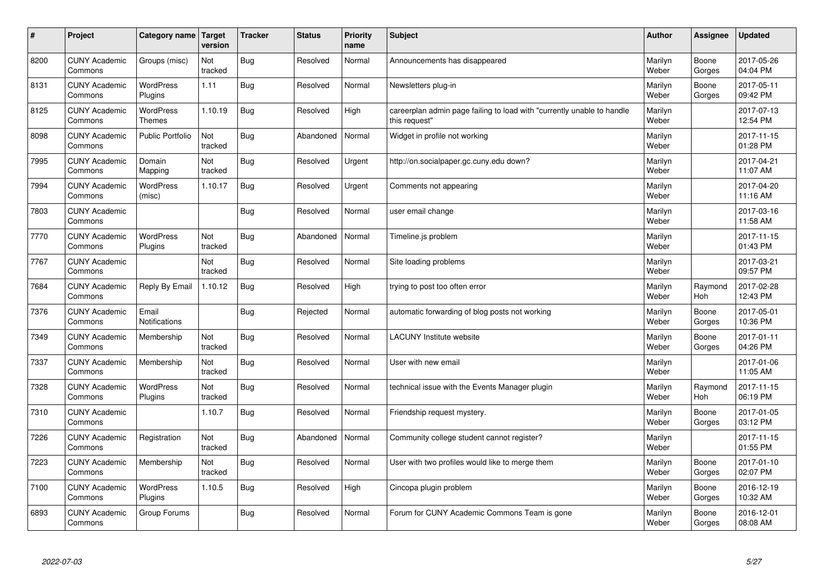| $\sharp$ | Project                         | Category name   Target            | version        | <b>Tracker</b> | <b>Status</b> | <b>Priority</b><br>name | <b>Subject</b>                                                                          | <b>Author</b>    | Assignee              | Updated                |
|----------|---------------------------------|-----------------------------------|----------------|----------------|---------------|-------------------------|-----------------------------------------------------------------------------------------|------------------|-----------------------|------------------------|
| 8200     | <b>CUNY Academic</b><br>Commons | Groups (misc)                     | Not<br>tracked | Bug            | Resolved      | Normal                  | Announcements has disappeared                                                           | Marilyn<br>Weber | Boone<br>Gorges       | 2017-05-26<br>04:04 PM |
| 8131     | <b>CUNY Academic</b><br>Commons | <b>WordPress</b><br>Plugins       | 1.11           | Bug            | Resolved      | Normal                  | Newsletters plug-in                                                                     | Marilyn<br>Weber | Boone<br>Gorges       | 2017-05-11<br>09:42 PM |
| 8125     | <b>CUNY Academic</b><br>Commons | <b>WordPress</b><br><b>Themes</b> | 1.10.19        | Bug            | Resolved      | High                    | careerplan admin page failing to load with "currently unable to handle<br>this request" | Marilyn<br>Weber |                       | 2017-07-13<br>12:54 PM |
| 8098     | <b>CUNY Academic</b><br>Commons | <b>Public Portfolio</b>           | Not<br>tracked | Bug            | Abandoned     | Normal                  | Widget in profile not working                                                           | Marilyn<br>Weber |                       | 2017-11-15<br>01:28 PM |
| 7995     | <b>CUNY Academic</b><br>Commons | Domain<br>Mapping                 | Not<br>tracked | Bug            | Resolved      | Urgent                  | http://on.socialpaper.gc.cuny.edu down?                                                 | Marilyn<br>Weber |                       | 2017-04-21<br>11:07 AM |
| 7994     | <b>CUNY Academic</b><br>Commons | WordPress<br>(misc)               | 1.10.17        | Bug            | Resolved      | Urgent                  | Comments not appearing                                                                  | Marilyn<br>Weber |                       | 2017-04-20<br>11:16 AM |
| 7803     | <b>CUNY Academic</b><br>Commons |                                   |                | Bug            | Resolved      | Normal                  | user email change                                                                       | Marilyn<br>Weber |                       | 2017-03-16<br>11:58 AM |
| 7770     | <b>CUNY Academic</b><br>Commons | WordPress<br>Plugins              | Not<br>tracked | Bug            | Abandoned     | Normal                  | Timeline.is problem                                                                     | Marilyn<br>Weber |                       | 2017-11-15<br>01:43 PM |
| 7767     | <b>CUNY Academic</b><br>Commons |                                   | Not<br>tracked | Bug            | Resolved      | Normal                  | Site loading problems                                                                   | Marilyn<br>Weber |                       | 2017-03-21<br>09:57 PM |
| 7684     | <b>CUNY Academic</b><br>Commons | Reply By Email                    | 1.10.12        | Bug            | Resolved      | High                    | trying to post too often error                                                          | Marilyn<br>Weber | Raymond<br>Hoh        | 2017-02-28<br>12:43 PM |
| 7376     | <b>CUNY Academic</b><br>Commons | Email<br>Notifications            |                | <b>Bug</b>     | Rejected      | Normal                  | automatic forwarding of blog posts not working                                          | Marilyn<br>Weber | Boone<br>Gorges       | 2017-05-01<br>10:36 PM |
| 7349     | <b>CUNY Academic</b><br>Commons | Membership                        | Not<br>tracked | Bug            | Resolved      | Normal                  | <b>LACUNY</b> Institute website                                                         | Marilyn<br>Weber | Boone<br>Gorges       | 2017-01-11<br>04:26 PM |
| 7337     | <b>CUNY Academic</b><br>Commons | Membership                        | Not<br>tracked | Bug            | Resolved      | Normal                  | User with new email                                                                     | Marilyn<br>Weber |                       | 2017-01-06<br>11:05 AM |
| 7328     | <b>CUNY Academic</b><br>Commons | WordPress<br>Plugins              | Not<br>tracked | Bug            | Resolved      | Normal                  | technical issue with the Events Manager plugin                                          | Marilyn<br>Weber | Raymond<br><b>Hoh</b> | 2017-11-15<br>06:19 PM |
| 7310     | <b>CUNY Academic</b><br>Commons |                                   | 1.10.7         | Bug            | Resolved      | Normal                  | Friendship request mystery.                                                             | Marilyn<br>Weber | Boone<br>Gorges       | 2017-01-05<br>03:12 PM |
| 7226     | <b>CUNY Academic</b><br>Commons | Registration                      | Not<br>tracked | Bug            | Abandoned     | Normal                  | Community college student cannot register?                                              | Marilyn<br>Weber |                       | 2017-11-15<br>01:55 PM |
| 7223     | <b>CUNY Academic</b><br>Commons | Membership                        | Not<br>tracked | Bug            | Resolved      | Normal                  | User with two profiles would like to merge them                                         | Marilyn<br>Weber | Boone<br>Gorges       | 2017-01-10<br>02:07 PM |
| 7100     | <b>CUNY Academic</b><br>Commons | <b>WordPress</b><br>Plugins       | 1.10.5         | <b>Bug</b>     | Resolved      | High                    | Cincopa plugin problem                                                                  | Marilyn<br>Weber | Boone<br>Gorges       | 2016-12-19<br>10:32 AM |
| 6893     | <b>CUNY Academic</b><br>Commons | Group Forums                      |                | Bug            | Resolved      | Normal                  | Forum for CUNY Academic Commons Team is gone                                            | Marilyn<br>Weber | Boone<br>Gorges       | 2016-12-01<br>08:08 AM |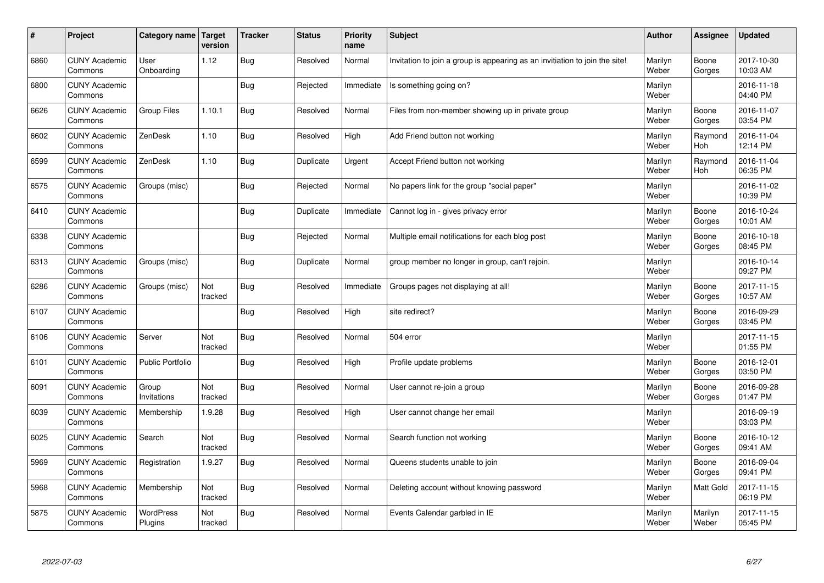| $\sharp$ | Project                         | Category name               | Target<br>version | <b>Tracker</b> | <b>Status</b> | <b>Priority</b><br>name | <b>Subject</b>                                                              | <b>Author</b>    | Assignee              | <b>Updated</b>         |
|----------|---------------------------------|-----------------------------|-------------------|----------------|---------------|-------------------------|-----------------------------------------------------------------------------|------------------|-----------------------|------------------------|
| 6860     | <b>CUNY Academic</b><br>Commons | User<br>Onboarding          | 1.12              | Bug            | Resolved      | Normal                  | Invitation to join a group is appearing as an invitiation to join the site! | Marilyn<br>Weber | Boone<br>Gorges       | 2017-10-30<br>10:03 AM |
| 6800     | <b>CUNY Academic</b><br>Commons |                             |                   | Bug            | Rejected      | Immediate               | Is something going on?                                                      | Marilyn<br>Weber |                       | 2016-11-18<br>04:40 PM |
| 6626     | <b>CUNY Academic</b><br>Commons | <b>Group Files</b>          | 1.10.1            | Bug            | Resolved      | Normal                  | Files from non-member showing up in private group                           | Marilyn<br>Weber | Boone<br>Gorges       | 2016-11-07<br>03:54 PM |
| 6602     | <b>CUNY Academic</b><br>Commons | ZenDesk                     | 1.10              | Bug            | Resolved      | High                    | Add Friend button not working                                               | Marilyn<br>Weber | Raymond<br><b>Hoh</b> | 2016-11-04<br>12:14 PM |
| 6599     | <b>CUNY Academic</b><br>Commons | ZenDesk                     | 1.10              | <b>Bug</b>     | Duplicate     | Urgent                  | Accept Friend button not working                                            | Marilyn<br>Weber | Raymond<br>Hoh        | 2016-11-04<br>06:35 PM |
| 6575     | <b>CUNY Academic</b><br>Commons | Groups (misc)               |                   | Bug            | Rejected      | Normal                  | No papers link for the group "social paper"                                 | Marilyn<br>Weber |                       | 2016-11-02<br>10:39 PM |
| 6410     | <b>CUNY Academic</b><br>Commons |                             |                   | Bug            | Duplicate     | Immediate               | Cannot log in - gives privacy error                                         | Marilyn<br>Weber | Boone<br>Gorges       | 2016-10-24<br>10:01 AM |
| 6338     | <b>CUNY Academic</b><br>Commons |                             |                   | Bug            | Rejected      | Normal                  | Multiple email notifications for each blog post                             | Marilyn<br>Weber | Boone<br>Gorges       | 2016-10-18<br>08:45 PM |
| 6313     | <b>CUNY Academic</b><br>Commons | Groups (misc)               |                   | Bug            | Duplicate     | Normal                  | group member no longer in group, can't rejoin.                              | Marilyn<br>Weber |                       | 2016-10-14<br>09:27 PM |
| 6286     | <b>CUNY Academic</b><br>Commons | Groups (misc)               | Not<br>tracked    | Bug            | Resolved      | Immediate               | Groups pages not displaying at all!                                         | Marilyn<br>Weber | Boone<br>Gorges       | 2017-11-15<br>10:57 AM |
| 6107     | <b>CUNY Academic</b><br>Commons |                             |                   | Bug            | Resolved      | High                    | site redirect?                                                              | Marilyn<br>Weber | Boone<br>Gorges       | 2016-09-29<br>03:45 PM |
| 6106     | <b>CUNY Academic</b><br>Commons | Server                      | Not<br>tracked    | Bug            | Resolved      | Normal                  | 504 error                                                                   | Marilyn<br>Weber |                       | 2017-11-15<br>01:55 PM |
| 6101     | <b>CUNY Academic</b><br>Commons | <b>Public Portfolio</b>     |                   | Bug            | Resolved      | High                    | Profile update problems                                                     | Marilyn<br>Weber | Boone<br>Gorges       | 2016-12-01<br>03:50 PM |
| 6091     | <b>CUNY Academic</b><br>Commons | Group<br>Invitations        | Not<br>tracked    | Bug            | Resolved      | Normal                  | User cannot re-join a group                                                 | Marilyn<br>Weber | Boone<br>Gorges       | 2016-09-28<br>01:47 PM |
| 6039     | <b>CUNY Academic</b><br>Commons | Membership                  | 1.9.28            | Bug            | Resolved      | High                    | User cannot change her email                                                | Marilyn<br>Weber |                       | 2016-09-19<br>03:03 PM |
| 6025     | <b>CUNY Academic</b><br>Commons | Search                      | Not<br>tracked    | Bug            | Resolved      | Normal                  | Search function not working                                                 | Marilyn<br>Weber | Boone<br>Gorges       | 2016-10-12<br>09:41 AM |
| 5969     | <b>CUNY Academic</b><br>Commons | Registration                | 1.9.27            | Bug            | Resolved      | Normal                  | Queens students unable to join                                              | Marilyn<br>Weber | Boone<br>Gorges       | 2016-09-04<br>09:41 PM |
| 5968     | <b>CUNY Academic</b><br>Commons | Membership                  | Not<br>tracked    | Bug            | Resolved      | Normal                  | Deleting account without knowing password                                   | Marilyn<br>Weber | Matt Gold             | 2017-11-15<br>06:19 PM |
| 5875     | <b>CUNY Academic</b><br>Commons | <b>WordPress</b><br>Plugins | Not<br>tracked    | Bug            | Resolved      | Normal                  | Events Calendar garbled in IE                                               | Marilyn<br>Weber | Marilyn<br>Weber      | 2017-11-15<br>05:45 PM |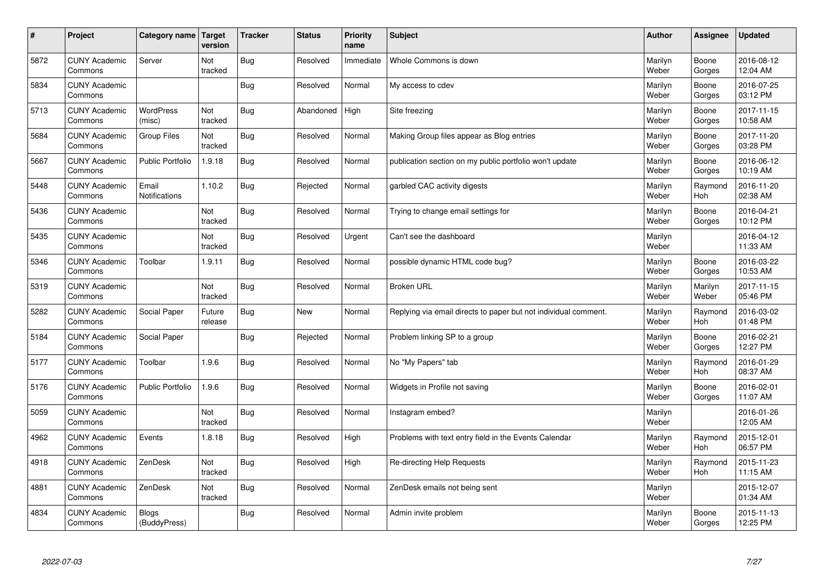| $\vert$ # | Project                         | Category name   Target        | version           | <b>Tracker</b> | <b>Status</b> | <b>Priority</b><br>name | <b>Subject</b>                                                  | <b>Author</b>    | Assignee              | <b>Updated</b>         |
|-----------|---------------------------------|-------------------------------|-------------------|----------------|---------------|-------------------------|-----------------------------------------------------------------|------------------|-----------------------|------------------------|
| 5872      | <b>CUNY Academic</b><br>Commons | Server                        | Not<br>tracked    | Bug            | Resolved      | Immediate               | Whole Commons is down                                           | Marilyn<br>Weber | Boone<br>Gorges       | 2016-08-12<br>12:04 AM |
| 5834      | <b>CUNY Academic</b><br>Commons |                               |                   | Bug            | Resolved      | Normal                  | My access to cdev                                               | Marilyn<br>Weber | Boone<br>Gorges       | 2016-07-25<br>03:12 PM |
| 5713      | <b>CUNY Academic</b><br>Commons | <b>WordPress</b><br>(misc)    | Not<br>tracked    | <b>Bug</b>     | Abandoned     | High                    | Site freezing                                                   | Marilyn<br>Weber | Boone<br>Gorges       | 2017-11-15<br>10:58 AM |
| 5684      | <b>CUNY Academic</b><br>Commons | <b>Group Files</b>            | Not<br>tracked    | <b>Bug</b>     | Resolved      | Normal                  | Making Group files appear as Blog entries                       | Marilyn<br>Weber | Boone<br>Gorges       | 2017-11-20<br>03:28 PM |
| 5667      | <b>CUNY Academic</b><br>Commons | <b>Public Portfolio</b>       | 1.9.18            | Bug            | Resolved      | Normal                  | publication section on my public portfolio won't update         | Marilyn<br>Weber | Boone<br>Gorges       | 2016-06-12<br>10:19 AM |
| 5448      | <b>CUNY Academic</b><br>Commons | Email<br><b>Notifications</b> | 1.10.2            | Bug            | Rejected      | Normal                  | garbled CAC activity digests                                    | Marilyn<br>Weber | Raymond<br>Hoh        | 2016-11-20<br>02:38 AM |
| 5436      | <b>CUNY Academic</b><br>Commons |                               | Not<br>tracked    | Bug            | Resolved      | Normal                  | Trying to change email settings for                             | Marilyn<br>Weber | Boone<br>Gorges       | 2016-04-21<br>10:12 PM |
| 5435      | <b>CUNY Academic</b><br>Commons |                               | Not<br>tracked    | <b>Bug</b>     | Resolved      | Urgent                  | Can't see the dashboard                                         | Marilyn<br>Weber |                       | 2016-04-12<br>11:33 AM |
| 5346      | <b>CUNY Academic</b><br>Commons | Toolbar                       | 1.9.11            | Bug            | Resolved      | Normal                  | possible dynamic HTML code bug?                                 | Marilyn<br>Weber | Boone<br>Gorges       | 2016-03-22<br>10:53 AM |
| 5319      | <b>CUNY Academic</b><br>Commons |                               | Not<br>tracked    | Bug            | Resolved      | Normal                  | <b>Broken URL</b>                                               | Marilyn<br>Weber | Marilyn<br>Weber      | 2017-11-15<br>05:46 PM |
| 5282      | <b>CUNY Academic</b><br>Commons | Social Paper                  | Future<br>release | Bug            | New           | Normal                  | Replying via email directs to paper but not individual comment. | Marilyn<br>Weber | Raymond<br>Hoh        | 2016-03-02<br>01:48 PM |
| 5184      | <b>CUNY Academic</b><br>Commons | Social Paper                  |                   | <b>Bug</b>     | Rejected      | Normal                  | Problem linking SP to a group                                   | Marilyn<br>Weber | Boone<br>Gorges       | 2016-02-21<br>12:27 PM |
| 5177      | <b>CUNY Academic</b><br>Commons | Toolbar                       | 1.9.6             | Bug            | Resolved      | Normal                  | No "My Papers" tab                                              | Marilyn<br>Weber | Raymond<br>Hoh        | 2016-01-29<br>08:37 AM |
| 5176      | <b>CUNY Academic</b><br>Commons | <b>Public Portfolio</b>       | 1.9.6             | Bug            | Resolved      | Normal                  | Widgets in Profile not saving                                   | Marilyn<br>Weber | Boone<br>Gorges       | 2016-02-01<br>11:07 AM |
| 5059      | <b>CUNY Academic</b><br>Commons |                               | Not<br>tracked    | Bug            | Resolved      | Normal                  | Instagram embed?                                                | Marilyn<br>Weber |                       | 2016-01-26<br>12:05 AM |
| 4962      | <b>CUNY Academic</b><br>Commons | Events                        | 1.8.18            | Bug            | Resolved      | High                    | Problems with text entry field in the Events Calendar           | Marilyn<br>Weber | Raymond<br>Hoh        | 2015-12-01<br>06:57 PM |
| 4918      | <b>CUNY Academic</b><br>Commons | ZenDesk                       | Not<br>tracked    | <b>Bug</b>     | Resolved      | High                    | Re-directing Help Requests                                      | Marilyn<br>Weber | Raymond<br><b>Hoh</b> | 2015-11-23<br>11:15 AM |
| 4881      | <b>CUNY Academic</b><br>Commons | ZenDesk                       | Not<br>tracked    | <b>Bug</b>     | Resolved      | Normal                  | ZenDesk emails not being sent                                   | Marilyn<br>Weber |                       | 2015-12-07<br>01:34 AM |
| 4834      | <b>CUNY Academic</b><br>Commons | <b>Blogs</b><br>(BuddyPress)  |                   | Bug            | Resolved      | Normal                  | Admin invite problem                                            | Marilyn<br>Weber | Boone<br>Gorges       | 2015-11-13<br>12:25 PM |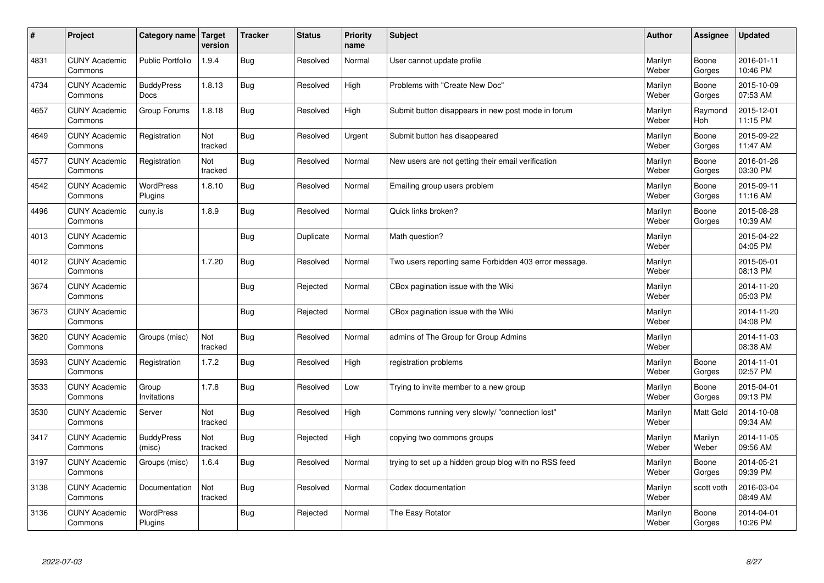| $\sharp$ | Project                         | Category name   Target      | version        | <b>Tracker</b> | <b>Status</b> | <b>Priority</b><br>name | <b>Subject</b>                                        | <b>Author</b>    | Assignee              | <b>Updated</b>         |
|----------|---------------------------------|-----------------------------|----------------|----------------|---------------|-------------------------|-------------------------------------------------------|------------------|-----------------------|------------------------|
| 4831     | <b>CUNY Academic</b><br>Commons | <b>Public Portfolio</b>     | 1.9.4          | Bug            | Resolved      | Normal                  | User cannot update profile                            | Marilyn<br>Weber | Boone<br>Gorges       | 2016-01-11<br>10:46 PM |
| 4734     | <b>CUNY Academic</b><br>Commons | <b>BuddyPress</b><br>Docs   | 1.8.13         | Bug            | Resolved      | High                    | Problems with "Create New Doc"                        | Marilyn<br>Weber | Boone<br>Gorges       | 2015-10-09<br>07:53 AM |
| 4657     | <b>CUNY Academic</b><br>Commons | Group Forums                | 1.8.18         | Bug            | Resolved      | High                    | Submit button disappears in new post mode in forum    | Marilyn<br>Weber | Raymond<br><b>Hoh</b> | 2015-12-01<br>11:15 PM |
| 4649     | <b>CUNY Academic</b><br>Commons | Registration                | Not<br>tracked | Bug            | Resolved      | Urgent                  | Submit button has disappeared                         | Marilyn<br>Weber | Boone<br>Gorges       | 2015-09-22<br>11:47 AM |
| 4577     | <b>CUNY Academic</b><br>Commons | Registration                | Not<br>tracked | Bug            | Resolved      | Normal                  | New users are not getting their email verification    | Marilyn<br>Weber | Boone<br>Gorges       | 2016-01-26<br>03:30 PM |
| 4542     | <b>CUNY Academic</b><br>Commons | <b>WordPress</b><br>Plugins | 1.8.10         | Bug            | Resolved      | Normal                  | Emailing group users problem                          | Marilyn<br>Weber | Boone<br>Gorges       | 2015-09-11<br>11:16 AM |
| 4496     | <b>CUNY Academic</b><br>Commons | cuny.is                     | 1.8.9          | Bug            | Resolved      | Normal                  | Quick links broken?                                   | Marilyn<br>Weber | Boone<br>Gorges       | 2015-08-28<br>10:39 AM |
| 4013     | <b>CUNY Academic</b><br>Commons |                             |                | Bug            | Duplicate     | Normal                  | Math question?                                        | Marilyn<br>Weber |                       | 2015-04-22<br>04:05 PM |
| 4012     | <b>CUNY Academic</b><br>Commons |                             | 1.7.20         | Bug            | Resolved      | Normal                  | Two users reporting same Forbidden 403 error message. | Marilyn<br>Weber |                       | 2015-05-01<br>08:13 PM |
| 3674     | <b>CUNY Academic</b><br>Commons |                             |                | Bug            | Rejected      | Normal                  | CBox pagination issue with the Wiki                   | Marilyn<br>Weber |                       | 2014-11-20<br>05:03 PM |
| 3673     | <b>CUNY Academic</b><br>Commons |                             |                | Bug            | Rejected      | Normal                  | CBox pagination issue with the Wiki                   | Marilyn<br>Weber |                       | 2014-11-20<br>04:08 PM |
| 3620     | <b>CUNY Academic</b><br>Commons | Groups (misc)               | Not<br>tracked | Bug            | Resolved      | Normal                  | admins of The Group for Group Admins                  | Marilyn<br>Weber |                       | 2014-11-03<br>08:38 AM |
| 3593     | <b>CUNY Academic</b><br>Commons | Registration                | 1.7.2          | Bug            | Resolved      | High                    | registration problems                                 | Marilyn<br>Weber | Boone<br>Gorges       | 2014-11-01<br>02:57 PM |
| 3533     | <b>CUNY Academic</b><br>Commons | Group<br>Invitations        | 1.7.8          | <b>Bug</b>     | Resolved      | Low                     | Trying to invite member to a new group                | Marilyn<br>Weber | Boone<br>Gorges       | 2015-04-01<br>09:13 PM |
| 3530     | <b>CUNY Academic</b><br>Commons | Server                      | Not<br>tracked | Bug            | Resolved      | High                    | Commons running very slowly/ "connection lost"        | Marilyn<br>Weber | Matt Gold             | 2014-10-08<br>09:34 AM |
| 3417     | <b>CUNY Academic</b><br>Commons | <b>BuddyPress</b><br>(misc) | Not<br>tracked | Bug            | Rejected      | High                    | copying two commons groups                            | Marilyn<br>Weber | Marilyn<br>Weber      | 2014-11-05<br>09:56 AM |
| 3197     | <b>CUNY Academic</b><br>Commons | Groups (misc)               | 1.6.4          | Bug            | Resolved      | Normal                  | trying to set up a hidden group blog with no RSS feed | Marilyn<br>Weber | Boone<br>Gorges       | 2014-05-21<br>09:39 PM |
| 3138     | <b>CUNY Academic</b><br>Commons | Documentation               | Not<br>tracked | Bug            | Resolved      | Normal                  | Codex documentation                                   | Marilyn<br>Weber | scott voth            | 2016-03-04<br>08:49 AM |
| 3136     | <b>CUNY Academic</b><br>Commons | <b>WordPress</b><br>Plugins |                | Bug            | Rejected      | Normal                  | The Easy Rotator                                      | Marilyn<br>Weber | Boone<br>Gorges       | 2014-04-01<br>10:26 PM |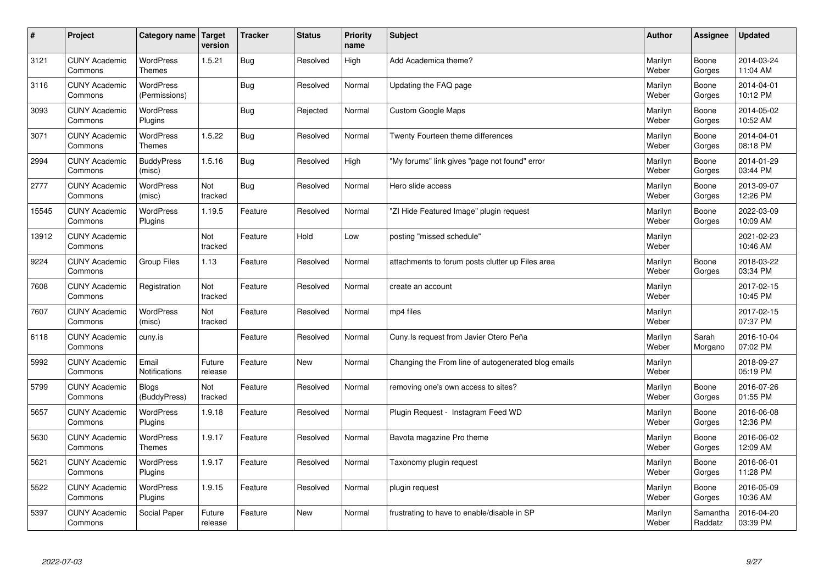| $\sharp$ | Project                         | Category name   Target            | version           | <b>Tracker</b> | <b>Status</b> | <b>Priority</b><br>name | <b>Subject</b>                                      | <b>Author</b>    | Assignee            | <b>Updated</b>         |
|----------|---------------------------------|-----------------------------------|-------------------|----------------|---------------|-------------------------|-----------------------------------------------------|------------------|---------------------|------------------------|
| 3121     | <b>CUNY Academic</b><br>Commons | <b>WordPress</b><br><b>Themes</b> | 1.5.21            | Bug            | Resolved      | High                    | Add Academica theme?                                | Marilyn<br>Weber | Boone<br>Gorges     | 2014-03-24<br>11:04 AM |
| 3116     | <b>CUNY Academic</b><br>Commons | <b>WordPress</b><br>(Permissions) |                   | Bug            | Resolved      | Normal                  | Updating the FAQ page                               | Marilyn<br>Weber | Boone<br>Gorges     | 2014-04-01<br>10:12 PM |
| 3093     | <b>CUNY Academic</b><br>Commons | <b>WordPress</b><br>Plugins       |                   | Bug            | Rejected      | Normal                  | Custom Google Maps                                  | Marilyn<br>Weber | Boone<br>Gorges     | 2014-05-02<br>10:52 AM |
| 3071     | <b>CUNY Academic</b><br>Commons | <b>WordPress</b><br><b>Themes</b> | 1.5.22            | Bug            | Resolved      | Normal                  | Twenty Fourteen theme differences                   | Marilyn<br>Weber | Boone<br>Gorges     | 2014-04-01<br>08:18 PM |
| 2994     | <b>CUNY Academic</b><br>Commons | <b>BuddyPress</b><br>(misc)       | 1.5.16            | Bug            | Resolved      | High                    | "My forums" link gives "page not found" error       | Marilyn<br>Weber | Boone<br>Gorges     | 2014-01-29<br>03:44 PM |
| 2777     | <b>CUNY Academic</b><br>Commons | WordPress<br>(misc)               | Not<br>tracked    | Bug            | Resolved      | Normal                  | Hero slide access                                   | Marilyn<br>Weber | Boone<br>Gorges     | 2013-09-07<br>12:26 PM |
| 15545    | <b>CUNY Academic</b><br>Commons | WordPress<br>Plugins              | 1.19.5            | Feature        | Resolved      | Normal                  | 'ZI Hide Featured Image" plugin request             | Marilyn<br>Weber | Boone<br>Gorges     | 2022-03-09<br>10:09 AM |
| 13912    | <b>CUNY Academic</b><br>Commons |                                   | Not<br>tracked    | Feature        | Hold          | Low                     | posting "missed schedule"                           | Marilyn<br>Weber |                     | 2021-02-23<br>10:46 AM |
| 9224     | <b>CUNY Academic</b><br>Commons | Group Files                       | 1.13              | Feature        | Resolved      | Normal                  | attachments to forum posts clutter up Files area    | Marilyn<br>Weber | Boone<br>Gorges     | 2018-03-22<br>03:34 PM |
| 7608     | <b>CUNY Academic</b><br>Commons | Registration                      | Not<br>tracked    | Feature        | Resolved      | Normal                  | create an account                                   | Marilyn<br>Weber |                     | 2017-02-15<br>10:45 PM |
| 7607     | <b>CUNY Academic</b><br>Commons | WordPress<br>(misc)               | Not<br>tracked    | Feature        | Resolved      | Normal                  | mp4 files                                           | Marilyn<br>Weber |                     | 2017-02-15<br>07:37 PM |
| 6118     | <b>CUNY Academic</b><br>Commons | cuny.is                           |                   | Feature        | Resolved      | Normal                  | Cuny. Is request from Javier Otero Peña             | Marilyn<br>Weber | Sarah<br>Morgano    | 2016-10-04<br>07:02 PM |
| 5992     | <b>CUNY Academic</b><br>Commons | Email<br>Notifications            | Future<br>release | Feature        | <b>New</b>    | Normal                  | Changing the From line of autogenerated blog emails | Marilyn<br>Weber |                     | 2018-09-27<br>05:19 PM |
| 5799     | <b>CUNY Academic</b><br>Commons | <b>Blogs</b><br>(BuddyPress)      | Not<br>tracked    | Feature        | Resolved      | Normal                  | removing one's own access to sites?                 | Marilyn<br>Weber | Boone<br>Gorges     | 2016-07-26<br>01:55 PM |
| 5657     | <b>CUNY Academic</b><br>Commons | WordPress<br>Plugins              | 1.9.18            | Feature        | Resolved      | Normal                  | Plugin Request - Instagram Feed WD                  | Marilyn<br>Weber | Boone<br>Gorges     | 2016-06-08<br>12:36 PM |
| 5630     | <b>CUNY Academic</b><br>Commons | WordPress<br><b>Themes</b>        | 1.9.17            | Feature        | Resolved      | Normal                  | Bavota magazine Pro theme                           | Marilyn<br>Weber | Boone<br>Gorges     | 2016-06-02<br>12:09 AM |
| 5621     | <b>CUNY Academic</b><br>Commons | WordPress<br>Plugins              | 1.9.17            | Feature        | Resolved      | Normal                  | Taxonomy plugin request                             | Marilyn<br>Weber | Boone<br>Gorges     | 2016-06-01<br>11:28 PM |
| 5522     | <b>CUNY Academic</b><br>Commons | WordPress<br>Plugins              | 1.9.15            | Feature        | Resolved      | Normal                  | plugin request                                      | Marilyn<br>Weber | Boone<br>Gorges     | 2016-05-09<br>10:36 AM |
| 5397     | <b>CUNY Academic</b><br>Commons | Social Paper                      | Future<br>release | Feature        | <b>New</b>    | Normal                  | frustrating to have to enable/disable in SP         | Marilyn<br>Weber | Samantha<br>Raddatz | 2016-04-20<br>03:39 PM |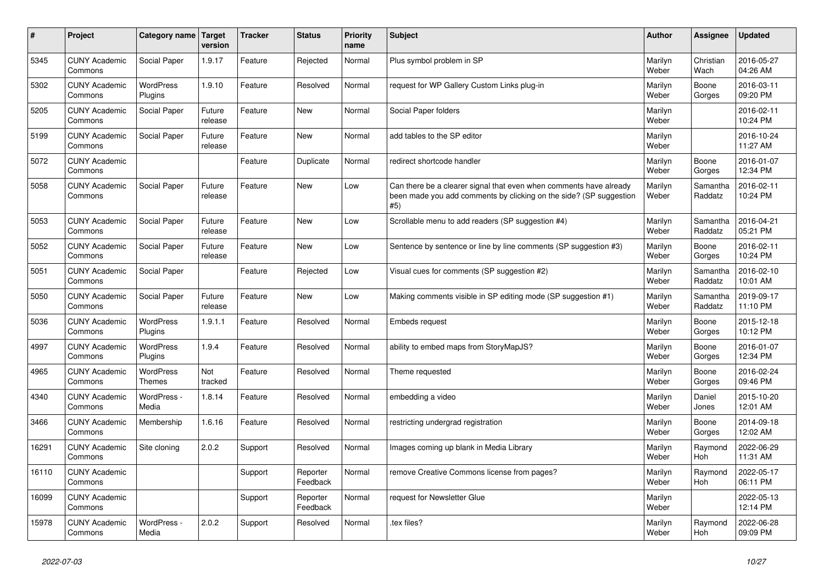| $\sharp$ | Project                         | Category name               | Target<br>version | <b>Tracker</b> | <b>Status</b>        | <b>Priority</b><br>name | <b>Subject</b>                                                                                                                                  | <b>Author</b>    | Assignee              | <b>Updated</b>         |
|----------|---------------------------------|-----------------------------|-------------------|----------------|----------------------|-------------------------|-------------------------------------------------------------------------------------------------------------------------------------------------|------------------|-----------------------|------------------------|
| 5345     | <b>CUNY Academic</b><br>Commons | Social Paper                | 1.9.17            | Feature        | Rejected             | Normal                  | Plus symbol problem in SP                                                                                                                       | Marilyn<br>Weber | Christian<br>Wach     | 2016-05-27<br>04:26 AM |
| 5302     | <b>CUNY Academic</b><br>Commons | <b>WordPress</b><br>Plugins | 1.9.10            | Feature        | Resolved             | Normal                  | request for WP Gallery Custom Links plug-in                                                                                                     | Marilyn<br>Weber | Boone<br>Gorges       | 2016-03-11<br>09:20 PM |
| 5205     | <b>CUNY Academic</b><br>Commons | Social Paper                | Future<br>release | Feature        | <b>New</b>           | Normal                  | Social Paper folders                                                                                                                            | Marilyn<br>Weber |                       | 2016-02-11<br>10:24 PM |
| 5199     | <b>CUNY Academic</b><br>Commons | <b>Social Paper</b>         | Future<br>release | Feature        | <b>New</b>           | Normal                  | add tables to the SP editor                                                                                                                     | Marilyn<br>Weber |                       | 2016-10-24<br>11:27 AM |
| 5072     | <b>CUNY Academic</b><br>Commons |                             |                   | Feature        | Duplicate            | Normal                  | redirect shortcode handler                                                                                                                      | Marilyn<br>Weber | Boone<br>Gorges       | 2016-01-07<br>12:34 PM |
| 5058     | <b>CUNY Academic</b><br>Commons | Social Paper                | Future<br>release | Feature        | <b>New</b>           | Low                     | Can there be a clearer signal that even when comments have already<br>been made you add comments by clicking on the side? (SP suggestion<br>#5) | Marilyn<br>Weber | Samantha<br>Raddatz   | 2016-02-11<br>10:24 PM |
| 5053     | <b>CUNY Academic</b><br>Commons | Social Paper                | Future<br>release | Feature        | New                  | Low                     | Scrollable menu to add readers (SP suggestion #4)                                                                                               | Marilyn<br>Weber | Samantha<br>Raddatz   | 2016-04-21<br>05:21 PM |
| 5052     | <b>CUNY Academic</b><br>Commons | Social Paper                | Future<br>release | Feature        | New                  | Low                     | Sentence by sentence or line by line comments (SP suggestion #3)                                                                                | Marilyn<br>Weber | Boone<br>Gorges       | 2016-02-11<br>10:24 PM |
| 5051     | <b>CUNY Academic</b><br>Commons | Social Paper                |                   | Feature        | Rejected             | Low                     | Visual cues for comments (SP suggestion #2)                                                                                                     | Marilyn<br>Weber | Samantha<br>Raddatz   | 2016-02-10<br>10:01 AM |
| 5050     | <b>CUNY Academic</b><br>Commons | Social Paper                | Future<br>release | Feature        | <b>New</b>           | Low                     | Making comments visible in SP editing mode (SP suggestion #1)                                                                                   | Marilyn<br>Weber | Samantha<br>Raddatz   | 2019-09-17<br>11:10 PM |
| 5036     | <b>CUNY Academic</b><br>Commons | WordPress<br>Plugins        | 1.9.1.1           | Feature        | Resolved             | Normal                  | Embeds request                                                                                                                                  | Marilyn<br>Weber | Boone<br>Gorges       | 2015-12-18<br>10:12 PM |
| 4997     | <b>CUNY Academic</b><br>Commons | <b>WordPress</b><br>Plugins | 1.9.4             | Feature        | Resolved             | Normal                  | ability to embed maps from StoryMapJS?                                                                                                          | Marilyn<br>Weber | Boone<br>Gorges       | 2016-01-07<br>12:34 PM |
| 4965     | <b>CUNY Academic</b><br>Commons | <b>WordPress</b><br>Themes  | Not<br>tracked    | Feature        | Resolved             | Normal                  | Theme requested                                                                                                                                 | Marilyn<br>Weber | Boone<br>Gorges       | 2016-02-24<br>09:46 PM |
| 4340     | <b>CUNY Academic</b><br>Commons | WordPress -<br>Media        | 1.8.14            | Feature        | Resolved             | Normal                  | embedding a video                                                                                                                               | Marilyn<br>Weber | Daniel<br>Jones       | 2015-10-20<br>12:01 AM |
| 3466     | <b>CUNY Academic</b><br>Commons | Membership                  | 1.6.16            | Feature        | Resolved             | Normal                  | restricting undergrad registration                                                                                                              | Marilyn<br>Weber | Boone<br>Gorges       | 2014-09-18<br>12:02 AM |
| 16291    | <b>CUNY Academic</b><br>Commons | Site cloning                | 2.0.2             | Support        | Resolved             | Normal                  | Images coming up blank in Media Library                                                                                                         | Marilyn<br>Weber | Raymond<br><b>Hoh</b> | 2022-06-29<br>11:31 AM |
| 16110    | <b>CUNY Academic</b><br>Commons |                             |                   | Support        | Reporter<br>Feedback | Normal                  | remove Creative Commons license from pages?                                                                                                     | Marilyn<br>Weber | Raymond<br><b>Hoh</b> | 2022-05-17<br>06:11 PM |
| 16099    | <b>CUNY Academic</b><br>Commons |                             |                   | Support        | Reporter<br>Feedback | Normal                  | request for Newsletter Glue                                                                                                                     | Marilyn<br>Weber |                       | 2022-05-13<br>12:14 PM |
| 15978    | <b>CUNY Academic</b><br>Commons | WordPress -<br>Media        | 2.0.2             | Support        | Resolved             | Normal                  | .tex files?                                                                                                                                     | Marilyn<br>Weber | Raymond<br>Hoh        | 2022-06-28<br>09:09 PM |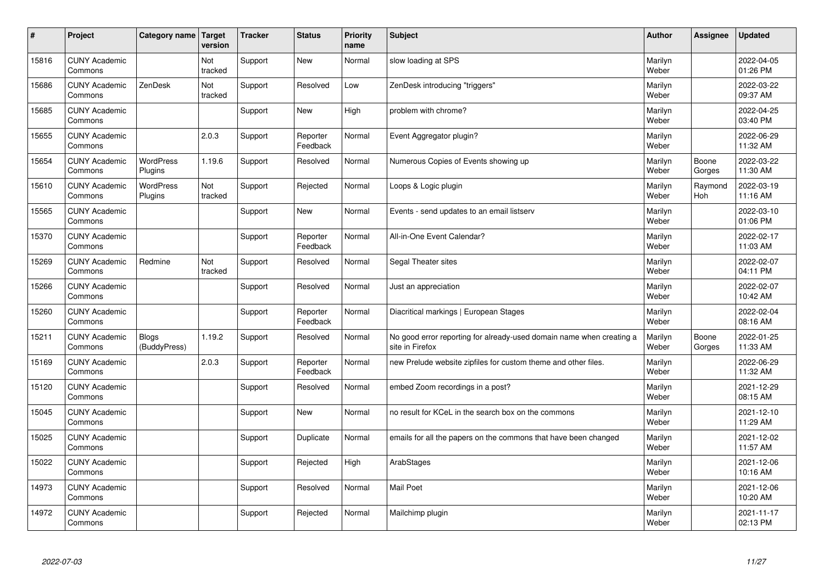| #     | Project                         | Category name   Target       | version        | <b>Tracker</b> | <b>Status</b>        | <b>Priority</b><br>name | <b>Subject</b>                                                                          | <b>Author</b>    | <b>Assignee</b> | <b>Updated</b>         |
|-------|---------------------------------|------------------------------|----------------|----------------|----------------------|-------------------------|-----------------------------------------------------------------------------------------|------------------|-----------------|------------------------|
| 15816 | <b>CUNY Academic</b><br>Commons |                              | Not<br>tracked | Support        | <b>New</b>           | Normal                  | slow loading at SPS                                                                     | Marilyn<br>Weber |                 | 2022-04-05<br>01:26 PM |
| 15686 | <b>CUNY Academic</b><br>Commons | ZenDesk                      | Not<br>tracked | Support        | Resolved             | Low                     | ZenDesk introducing "triggers"                                                          | Marilyn<br>Weber |                 | 2022-03-22<br>09:37 AM |
| 15685 | <b>CUNY Academic</b><br>Commons |                              |                | Support        | <b>New</b>           | High                    | problem with chrome?                                                                    | Marilyn<br>Weber |                 | 2022-04-25<br>03:40 PM |
| 15655 | <b>CUNY Academic</b><br>Commons |                              | 2.0.3          | Support        | Reporter<br>Feedback | Normal                  | Event Aggregator plugin?                                                                | Marilyn<br>Weber |                 | 2022-06-29<br>11:32 AM |
| 15654 | <b>CUNY Academic</b><br>Commons | <b>WordPress</b><br>Plugins  | 1.19.6         | Support        | Resolved             | Normal                  | Numerous Copies of Events showing up                                                    | Marilyn<br>Weber | Boone<br>Gorges | 2022-03-22<br>11:30 AM |
| 15610 | <b>CUNY Academic</b><br>Commons | <b>WordPress</b><br>Plugins  | Not<br>tracked | Support        | Rejected             | Normal                  | Loops & Logic plugin                                                                    | Marilyn<br>Weber | Raymond<br>Hoh  | 2022-03-19<br>11:16 AM |
| 15565 | <b>CUNY Academic</b><br>Commons |                              |                | Support        | <b>New</b>           | Normal                  | Events - send updates to an email listserv                                              | Marilyn<br>Weber |                 | 2022-03-10<br>01:06 PM |
| 15370 | <b>CUNY Academic</b><br>Commons |                              |                | Support        | Reporter<br>Feedback | Normal                  | All-in-One Event Calendar?                                                              | Marilyn<br>Weber |                 | 2022-02-17<br>11:03 AM |
| 15269 | <b>CUNY Academic</b><br>Commons | Redmine                      | Not<br>tracked | Support        | Resolved             | Normal                  | Segal Theater sites                                                                     | Marilyn<br>Weber |                 | 2022-02-07<br>04:11 PM |
| 15266 | <b>CUNY Academic</b><br>Commons |                              |                | Support        | Resolved             | Normal                  | Just an appreciation                                                                    | Marilyn<br>Weber |                 | 2022-02-07<br>10:42 AM |
| 15260 | <b>CUNY Academic</b><br>Commons |                              |                | Support        | Reporter<br>Feedback | Normal                  | Diacritical markings   European Stages                                                  | Marilyn<br>Weber |                 | 2022-02-04<br>08:16 AM |
| 15211 | <b>CUNY Academic</b><br>Commons | <b>Blogs</b><br>(BuddyPress) | 1.19.2         | Support        | Resolved             | Normal                  | No good error reporting for already-used domain name when creating a<br>site in Firefox | Marilyn<br>Weber | Boone<br>Gorges | 2022-01-25<br>11:33 AM |
| 15169 | <b>CUNY Academic</b><br>Commons |                              | 2.0.3          | Support        | Reporter<br>Feedback | Normal                  | new Prelude website zipfiles for custom theme and other files.                          | Marilyn<br>Weber |                 | 2022-06-29<br>11:32 AM |
| 15120 | <b>CUNY Academic</b><br>Commons |                              |                | Support        | Resolved             | Normal                  | embed Zoom recordings in a post?                                                        | Marilyn<br>Weber |                 | 2021-12-29<br>08:15 AM |
| 15045 | <b>CUNY Academic</b><br>Commons |                              |                | Support        | <b>New</b>           | Normal                  | no result for KCeL in the search box on the commons                                     | Marilyn<br>Weber |                 | 2021-12-10<br>11:29 AM |
| 15025 | <b>CUNY Academic</b><br>Commons |                              |                | Support        | Duplicate            | Normal                  | emails for all the papers on the commons that have been changed                         | Marilyn<br>Weber |                 | 2021-12-02<br>11:57 AM |
| 15022 | <b>CUNY Academic</b><br>Commons |                              |                | Support        | Rejected             | High                    | ArabStages                                                                              | Marilyn<br>Weber |                 | 2021-12-06<br>10:16 AM |
| 14973 | <b>CUNY Academic</b><br>Commons |                              |                | Support        | Resolved             | Normal                  | <b>Mail Poet</b>                                                                        | Marilyn<br>Weber |                 | 2021-12-06<br>10:20 AM |
| 14972 | <b>CUNY Academic</b><br>Commons |                              |                | Support        | Rejected             | Normal                  | Mailchimp plugin                                                                        | Marilyn<br>Weber |                 | 2021-11-17<br>02:13 PM |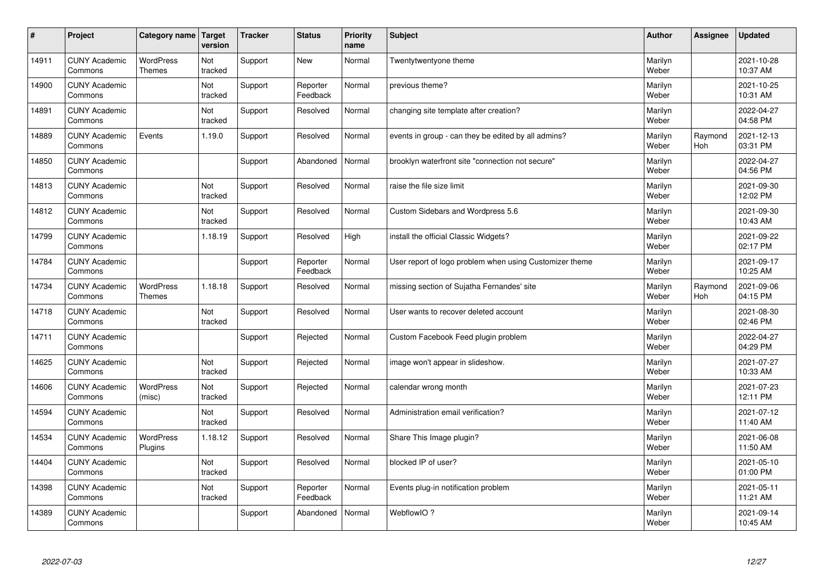| $\sharp$ | Project                         | Category name               | Target<br>version | <b>Tracker</b> | <b>Status</b>        | <b>Priority</b><br>name | <b>Subject</b>                                          | <b>Author</b>    | Assignee       | <b>Updated</b>         |
|----------|---------------------------------|-----------------------------|-------------------|----------------|----------------------|-------------------------|---------------------------------------------------------|------------------|----------------|------------------------|
| 14911    | <b>CUNY Academic</b><br>Commons | <b>WordPress</b><br>Themes  | Not<br>tracked    | Support        | <b>New</b>           | Normal                  | Twentytwentyone theme                                   | Marilyn<br>Weber |                | 2021-10-28<br>10:37 AM |
| 14900    | <b>CUNY Academic</b><br>Commons |                             | Not<br>tracked    | Support        | Reporter<br>Feedback | Normal                  | previous theme?                                         | Marilyn<br>Weber |                | 2021-10-25<br>10:31 AM |
| 14891    | <b>CUNY Academic</b><br>Commons |                             | Not<br>tracked    | Support        | Resolved             | Normal                  | changing site template after creation?                  | Marilyn<br>Weber |                | 2022-04-27<br>04:58 PM |
| 14889    | <b>CUNY Academic</b><br>Commons | Events                      | 1.19.0            | Support        | Resolved             | Normal                  | events in group - can they be edited by all admins?     | Marilyn<br>Weber | Raymond<br>Hoh | 2021-12-13<br>03:31 PM |
| 14850    | <b>CUNY Academic</b><br>Commons |                             |                   | Support        | Abandoned            | Normal                  | brooklyn waterfront site "connection not secure"        | Marilyn<br>Weber |                | 2022-04-27<br>04:56 PM |
| 14813    | <b>CUNY Academic</b><br>Commons |                             | Not<br>tracked    | Support        | Resolved             | Normal                  | raise the file size limit                               | Marilyn<br>Weber |                | 2021-09-30<br>12:02 PM |
| 14812    | <b>CUNY Academic</b><br>Commons |                             | Not<br>tracked    | Support        | Resolved             | Normal                  | Custom Sidebars and Wordpress 5.6                       | Marilyn<br>Weber |                | 2021-09-30<br>10:43 AM |
| 14799    | <b>CUNY Academic</b><br>Commons |                             | 1.18.19           | Support        | Resolved             | High                    | install the official Classic Widgets?                   | Marilyn<br>Weber |                | 2021-09-22<br>02:17 PM |
| 14784    | <b>CUNY Academic</b><br>Commons |                             |                   | Support        | Reporter<br>Feedback | Normal                  | User report of logo problem when using Customizer theme | Marilyn<br>Weber |                | 2021-09-17<br>10:25 AM |
| 14734    | <b>CUNY Academic</b><br>Commons | WordPress<br>Themes         | 1.18.18           | Support        | Resolved             | Normal                  | missing section of Sujatha Fernandes' site              | Marilyn<br>Weber | Raymond<br>Hoh | 2021-09-06<br>04:15 PM |
| 14718    | <b>CUNY Academic</b><br>Commons |                             | Not<br>tracked    | Support        | Resolved             | Normal                  | User wants to recover deleted account                   | Marilyn<br>Weber |                | 2021-08-30<br>02:46 PM |
| 14711    | <b>CUNY Academic</b><br>Commons |                             |                   | Support        | Rejected             | Normal                  | Custom Facebook Feed plugin problem                     | Marilyn<br>Weber |                | 2022-04-27<br>04:29 PM |
| 14625    | <b>CUNY Academic</b><br>Commons |                             | Not<br>tracked    | Support        | Rejected             | Normal                  | image won't appear in slideshow.                        | Marilyn<br>Weber |                | 2021-07-27<br>10:33 AM |
| 14606    | <b>CUNY Academic</b><br>Commons | <b>WordPress</b><br>(misc)  | Not<br>tracked    | Support        | Rejected             | Normal                  | calendar wrong month                                    | Marilyn<br>Weber |                | 2021-07-23<br>12:11 PM |
| 14594    | <b>CUNY Academic</b><br>Commons |                             | Not<br>tracked    | Support        | Resolved             | Normal                  | Administration email verification?                      | Marilyn<br>Weber |                | 2021-07-12<br>11:40 AM |
| 14534    | <b>CUNY Academic</b><br>Commons | <b>WordPress</b><br>Plugins | 1.18.12           | Support        | Resolved             | Normal                  | Share This Image plugin?                                | Marilyn<br>Weber |                | 2021-06-08<br>11:50 AM |
| 14404    | <b>CUNY Academic</b><br>Commons |                             | Not<br>tracked    | Support        | Resolved             | Normal                  | blocked IP of user?                                     | Marilyn<br>Weber |                | 2021-05-10<br>01:00 PM |
| 14398    | <b>CUNY Academic</b><br>Commons |                             | Not<br>tracked    | Support        | Reporter<br>Feedback | Normal                  | Events plug-in notification problem                     | Marilyn<br>Weber |                | 2021-05-11<br>11:21 AM |
| 14389    | <b>CUNY Academic</b><br>Commons |                             |                   | Support        | Abandoned            | Normal                  | WebflowIO?                                              | Marilyn<br>Weber |                | 2021-09-14<br>10:45 AM |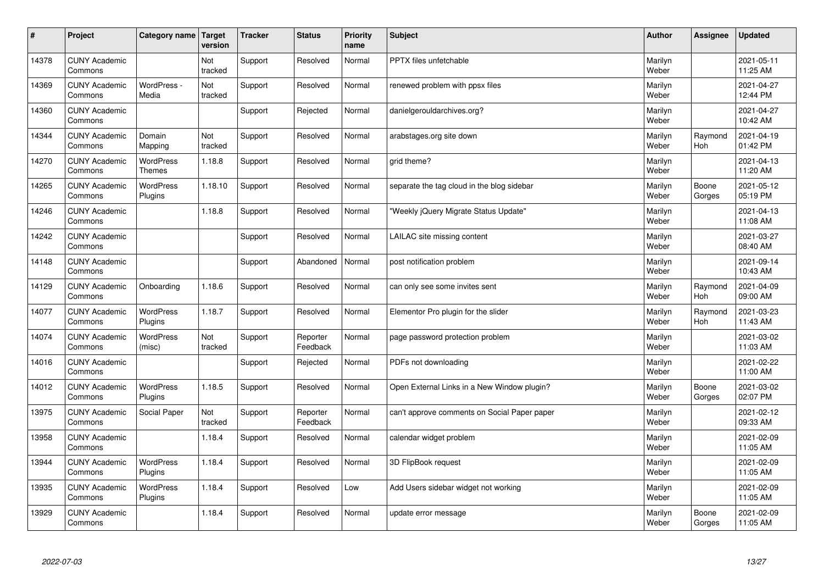| #     | Project                         | Category name   Target            | version        | <b>Tracker</b> | <b>Status</b>        | <b>Priority</b><br>name | <b>Subject</b>                               | <b>Author</b>    | Assignee              | <b>Updated</b>         |
|-------|---------------------------------|-----------------------------------|----------------|----------------|----------------------|-------------------------|----------------------------------------------|------------------|-----------------------|------------------------|
| 14378 | <b>CUNY Academic</b><br>Commons |                                   | Not<br>tracked | Support        | Resolved             | Normal                  | <b>PPTX</b> files unfetchable                | Marilyn<br>Weber |                       | 2021-05-11<br>11:25 AM |
| 14369 | <b>CUNY Academic</b><br>Commons | WordPress -<br>Media              | Not<br>tracked | Support        | Resolved             | Normal                  | renewed problem with ppsx files              | Marilyn<br>Weber |                       | 2021-04-27<br>12:44 PM |
| 14360 | <b>CUNY Academic</b><br>Commons |                                   |                | Support        | Rejected             | Normal                  | danielgerouldarchives.org?                   | Marilyn<br>Weber |                       | 2021-04-27<br>10:42 AM |
| 14344 | <b>CUNY Academic</b><br>Commons | Domain<br>Mapping                 | Not<br>tracked | Support        | Resolved             | Normal                  | arabstages.org site down                     | Marilyn<br>Weber | Raymond<br>Hoh        | 2021-04-19<br>01:42 PM |
| 14270 | <b>CUNY Academic</b><br>Commons | <b>WordPress</b><br><b>Themes</b> | 1.18.8         | Support        | Resolved             | Normal                  | grid theme?                                  | Marilyn<br>Weber |                       | 2021-04-13<br>11:20 AM |
| 14265 | <b>CUNY Academic</b><br>Commons | <b>WordPress</b><br>Plugins       | 1.18.10        | Support        | Resolved             | Normal                  | separate the tag cloud in the blog sidebar   | Marilyn<br>Weber | Boone<br>Gorges       | 2021-05-12<br>05:19 PM |
| 14246 | <b>CUNY Academic</b><br>Commons |                                   | 1.18.8         | Support        | Resolved             | Normal                  | 'Weekly jQuery Migrate Status Update"        | Marilyn<br>Weber |                       | 2021-04-13<br>11:08 AM |
| 14242 | <b>CUNY Academic</b><br>Commons |                                   |                | Support        | Resolved             | Normal                  | LAILAC site missing content                  | Marilyn<br>Weber |                       | 2021-03-27<br>08:40 AM |
| 14148 | <b>CUNY Academic</b><br>Commons |                                   |                | Support        | Abandoned            | Normal                  | post notification problem                    | Marilyn<br>Weber |                       | 2021-09-14<br>10:43 AM |
| 14129 | <b>CUNY Academic</b><br>Commons | Onboarding                        | 1.18.6         | Support        | Resolved             | Normal                  | can only see some invites sent               | Marilyn<br>Weber | Raymond<br><b>Hoh</b> | 2021-04-09<br>09:00 AM |
| 14077 | <b>CUNY Academic</b><br>Commons | <b>WordPress</b><br>Plugins       | 1.18.7         | Support        | Resolved             | Normal                  | Elementor Pro plugin for the slider          | Marilyn<br>Weber | Raymond<br><b>Hoh</b> | 2021-03-23<br>11:43 AM |
| 14074 | <b>CUNY Academic</b><br>Commons | <b>WordPress</b><br>(misc)        | Not<br>tracked | Support        | Reporter<br>Feedback | Normal                  | page password protection problem             | Marilyn<br>Weber |                       | 2021-03-02<br>11:03 AM |
| 14016 | <b>CUNY Academic</b><br>Commons |                                   |                | Support        | Rejected             | Normal                  | PDFs not downloading                         | Marilyn<br>Weber |                       | 2021-02-22<br>11:00 AM |
| 14012 | <b>CUNY Academic</b><br>Commons | WordPress<br>Plugins              | 1.18.5         | Support        | Resolved             | Normal                  | Open External Links in a New Window plugin?  | Marilyn<br>Weber | Boone<br>Gorges       | 2021-03-02<br>02:07 PM |
| 13975 | <b>CUNY Academic</b><br>Commons | Social Paper                      | Not<br>tracked | Support        | Reporter<br>Feedback | Normal                  | can't approve comments on Social Paper paper | Marilyn<br>Weber |                       | 2021-02-12<br>09:33 AM |
| 13958 | <b>CUNY Academic</b><br>Commons |                                   | 1.18.4         | Support        | Resolved             | Normal                  | calendar widget problem                      | Marilyn<br>Weber |                       | 2021-02-09<br>11:05 AM |
| 13944 | <b>CUNY Academic</b><br>Commons | WordPress<br>Plugins              | 1.18.4         | Support        | Resolved             | Normal                  | 3D FlipBook request                          | Marilyn<br>Weber |                       | 2021-02-09<br>11:05 AM |
| 13935 | <b>CUNY Academic</b><br>Commons | <b>WordPress</b><br>Plugins       | 1.18.4         | Support        | Resolved             | Low                     | Add Users sidebar widget not working         | Marilyn<br>Weber |                       | 2021-02-09<br>11:05 AM |
| 13929 | <b>CUNY Academic</b><br>Commons |                                   | 1.18.4         | Support        | Resolved             | Normal                  | update error message                         | Marilyn<br>Weber | Boone<br>Gorges       | 2021-02-09<br>11:05 AM |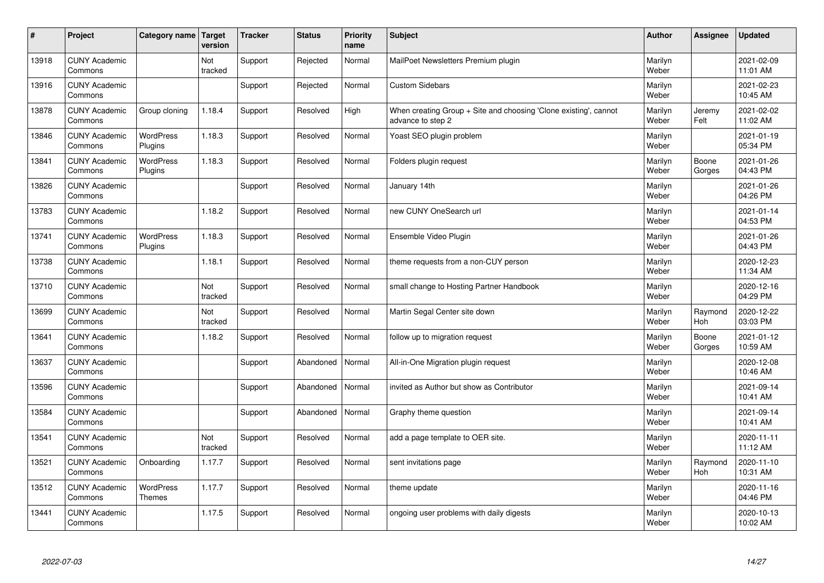| $\sharp$ | Project                         | Category name   Target      | version        | <b>Tracker</b> | <b>Status</b> | <b>Priority</b><br>name | <b>Subject</b>                                                                        | <b>Author</b>    | Assignee              | <b>Updated</b>         |
|----------|---------------------------------|-----------------------------|----------------|----------------|---------------|-------------------------|---------------------------------------------------------------------------------------|------------------|-----------------------|------------------------|
| 13918    | <b>CUNY Academic</b><br>Commons |                             | Not<br>tracked | Support        | Rejected      | Normal                  | MailPoet Newsletters Premium plugin                                                   | Marilyn<br>Weber |                       | 2021-02-09<br>11:01 AM |
| 13916    | <b>CUNY Academic</b><br>Commons |                             |                | Support        | Rejected      | Normal                  | <b>Custom Sidebars</b>                                                                | Marilyn<br>Weber |                       | 2021-02-23<br>10:45 AM |
| 13878    | <b>CUNY Academic</b><br>Commons | Group cloning               | 1.18.4         | Support        | Resolved      | High                    | When creating Group + Site and choosing 'Clone existing', cannot<br>advance to step 2 | Marilyn<br>Weber | Jeremy<br>Felt        | 2021-02-02<br>11:02 AM |
| 13846    | <b>CUNY Academic</b><br>Commons | <b>WordPress</b><br>Plugins | 1.18.3         | Support        | Resolved      | Normal                  | Yoast SEO plugin problem                                                              | Marilyn<br>Weber |                       | 2021-01-19<br>05:34 PM |
| 13841    | <b>CUNY Academic</b><br>Commons | <b>WordPress</b><br>Plugins | 1.18.3         | Support        | Resolved      | Normal                  | Folders plugin request                                                                | Marilyn<br>Weber | Boone<br>Gorges       | 2021-01-26<br>04:43 PM |
| 13826    | <b>CUNY Academic</b><br>Commons |                             |                | Support        | Resolved      | Normal                  | January 14th                                                                          | Marilyn<br>Weber |                       | 2021-01-26<br>04:26 PM |
| 13783    | <b>CUNY Academic</b><br>Commons |                             | 1.18.2         | Support        | Resolved      | Normal                  | new CUNY OneSearch url                                                                | Marilyn<br>Weber |                       | 2021-01-14<br>04:53 PM |
| 13741    | <b>CUNY Academic</b><br>Commons | WordPress<br>Plugins        | 1.18.3         | Support        | Resolved      | Normal                  | Ensemble Video Plugin                                                                 | Marilyn<br>Weber |                       | 2021-01-26<br>04:43 PM |
| 13738    | <b>CUNY Academic</b><br>Commons |                             | 1.18.1         | Support        | Resolved      | Normal                  | theme requests from a non-CUY person                                                  | Marilyn<br>Weber |                       | 2020-12-23<br>11:34 AM |
| 13710    | <b>CUNY Academic</b><br>Commons |                             | Not<br>tracked | Support        | Resolved      | Normal                  | small change to Hosting Partner Handbook                                              | Marilyn<br>Weber |                       | 2020-12-16<br>04:29 PM |
| 13699    | <b>CUNY Academic</b><br>Commons |                             | Not<br>tracked | Support        | Resolved      | Normal                  | Martin Segal Center site down                                                         | Marilyn<br>Weber | Raymond<br>Hoh        | 2020-12-22<br>03:03 PM |
| 13641    | <b>CUNY Academic</b><br>Commons |                             | 1.18.2         | Support        | Resolved      | Normal                  | follow up to migration request                                                        | Marilyn<br>Weber | Boone<br>Gorges       | 2021-01-12<br>10:59 AM |
| 13637    | <b>CUNY Academic</b><br>Commons |                             |                | Support        | Abandoned     | Normal                  | All-in-One Migration plugin request                                                   | Marilyn<br>Weber |                       | 2020-12-08<br>10:46 AM |
| 13596    | <b>CUNY Academic</b><br>Commons |                             |                | Support        | Abandoned     | Normal                  | invited as Author but show as Contributor                                             | Marilyn<br>Weber |                       | 2021-09-14<br>10:41 AM |
| 13584    | <b>CUNY Academic</b><br>Commons |                             |                | Support        | Abandoned     | Normal                  | Graphy theme question                                                                 | Marilyn<br>Weber |                       | 2021-09-14<br>10:41 AM |
| 13541    | <b>CUNY Academic</b><br>Commons |                             | Not<br>tracked | Support        | Resolved      | Normal                  | add a page template to OER site.                                                      | Marilyn<br>Weber |                       | 2020-11-11<br>11:12 AM |
| 13521    | <b>CUNY Academic</b><br>Commons | Onboarding                  | 1.17.7         | Support        | Resolved      | Normal                  | sent invitations page                                                                 | Marilyn<br>Weber | Raymond<br><b>Hoh</b> | 2020-11-10<br>10:31 AM |
| 13512    | <b>CUNY Academic</b><br>Commons | WordPress<br><b>Themes</b>  | 1.17.7         | Support        | Resolved      | Normal                  | theme update                                                                          | Marilyn<br>Weber |                       | 2020-11-16<br>04:46 PM |
| 13441    | <b>CUNY Academic</b><br>Commons |                             | 1.17.5         | Support        | Resolved      | Normal                  | ongoing user problems with daily digests                                              | Marilyn<br>Weber |                       | 2020-10-13<br>10:02 AM |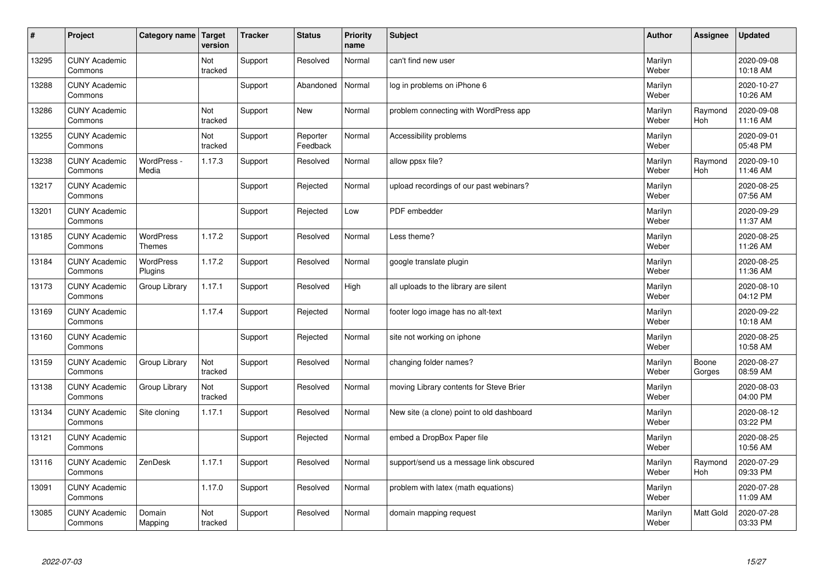| $\sharp$ | Project                         | Category name   Target            | version        | <b>Tracker</b> | <b>Status</b>        | <b>Priority</b><br>name | <b>Subject</b>                            | <b>Author</b>    | Assignee              | Updated                |
|----------|---------------------------------|-----------------------------------|----------------|----------------|----------------------|-------------------------|-------------------------------------------|------------------|-----------------------|------------------------|
| 13295    | <b>CUNY Academic</b><br>Commons |                                   | Not<br>tracked | Support        | Resolved             | Normal                  | can't find new user                       | Marilyn<br>Weber |                       | 2020-09-08<br>10:18 AM |
| 13288    | <b>CUNY Academic</b><br>Commons |                                   |                | Support        | Abandoned            | Normal                  | log in problems on iPhone 6               | Marilyn<br>Weber |                       | 2020-10-27<br>10:26 AM |
| 13286    | <b>CUNY Academic</b><br>Commons |                                   | Not<br>tracked | Support        | <b>New</b>           | Normal                  | problem connecting with WordPress app     | Marilyn<br>Weber | Raymond<br><b>Hoh</b> | 2020-09-08<br>11:16 AM |
| 13255    | <b>CUNY Academic</b><br>Commons |                                   | Not<br>tracked | Support        | Reporter<br>Feedback | Normal                  | Accessibility problems                    | Marilyn<br>Weber |                       | 2020-09-01<br>05:48 PM |
| 13238    | <b>CUNY Academic</b><br>Commons | WordPress -<br>Media              | 1.17.3         | Support        | Resolved             | Normal                  | allow ppsx file?                          | Marilyn<br>Weber | Raymond<br>Hoh        | 2020-09-10<br>11:46 AM |
| 13217    | <b>CUNY Academic</b><br>Commons |                                   |                | Support        | Rejected             | Normal                  | upload recordings of our past webinars?   | Marilyn<br>Weber |                       | 2020-08-25<br>07:56 AM |
| 13201    | <b>CUNY Academic</b><br>Commons |                                   |                | Support        | Rejected             | Low                     | PDF embedder                              | Marilyn<br>Weber |                       | 2020-09-29<br>11:37 AM |
| 13185    | <b>CUNY Academic</b><br>Commons | <b>WordPress</b><br><b>Themes</b> | 1.17.2         | Support        | Resolved             | Normal                  | Less theme?                               | Marilyn<br>Weber |                       | 2020-08-25<br>11:26 AM |
| 13184    | <b>CUNY Academic</b><br>Commons | <b>WordPress</b><br>Plugins       | 1.17.2         | Support        | Resolved             | Normal                  | google translate plugin                   | Marilyn<br>Weber |                       | 2020-08-25<br>11:36 AM |
| 13173    | <b>CUNY Academic</b><br>Commons | Group Library                     | 1.17.1         | Support        | Resolved             | High                    | all uploads to the library are silent     | Marilyn<br>Weber |                       | 2020-08-10<br>04:12 PM |
| 13169    | <b>CUNY Academic</b><br>Commons |                                   | 1.17.4         | Support        | Rejected             | Normal                  | footer logo image has no alt-text         | Marilyn<br>Weber |                       | 2020-09-22<br>10:18 AM |
| 13160    | <b>CUNY Academic</b><br>Commons |                                   |                | Support        | Rejected             | Normal                  | site not working on iphone                | Marilyn<br>Weber |                       | 2020-08-25<br>10:58 AM |
| 13159    | <b>CUNY Academic</b><br>Commons | Group Library                     | Not<br>tracked | Support        | Resolved             | Normal                  | changing folder names?                    | Marilyn<br>Weber | Boone<br>Gorges       | 2020-08-27<br>08:59 AM |
| 13138    | <b>CUNY Academic</b><br>Commons | Group Library                     | Not<br>tracked | Support        | Resolved             | Normal                  | moving Library contents for Steve Brier   | Marilyn<br>Weber |                       | 2020-08-03<br>04:00 PM |
| 13134    | <b>CUNY Academic</b><br>Commons | Site cloning                      | 1.17.1         | Support        | Resolved             | Normal                  | New site (a clone) point to old dashboard | Marilyn<br>Weber |                       | 2020-08-12<br>03:22 PM |
| 13121    | <b>CUNY Academic</b><br>Commons |                                   |                | Support        | Rejected             | Normal                  | embed a DropBox Paper file                | Marilyn<br>Weber |                       | 2020-08-25<br>10:56 AM |
| 13116    | <b>CUNY Academic</b><br>Commons | ZenDesk                           | 1.17.1         | Support        | Resolved             | Normal                  | support/send us a message link obscured   | Marilyn<br>Weber | Raymond<br>Hoh        | 2020-07-29<br>09:33 PM |
| 13091    | <b>CUNY Academic</b><br>Commons |                                   | 1.17.0         | Support        | Resolved             | Normal                  | problem with latex (math equations)       | Marilyn<br>Weber |                       | 2020-07-28<br>11:09 AM |
| 13085    | <b>CUNY Academic</b><br>Commons | Domain<br>Mapping                 | Not<br>tracked | Support        | Resolved             | Normal                  | domain mapping request                    | Marilyn<br>Weber | <b>Matt Gold</b>      | 2020-07-28<br>03:33 PM |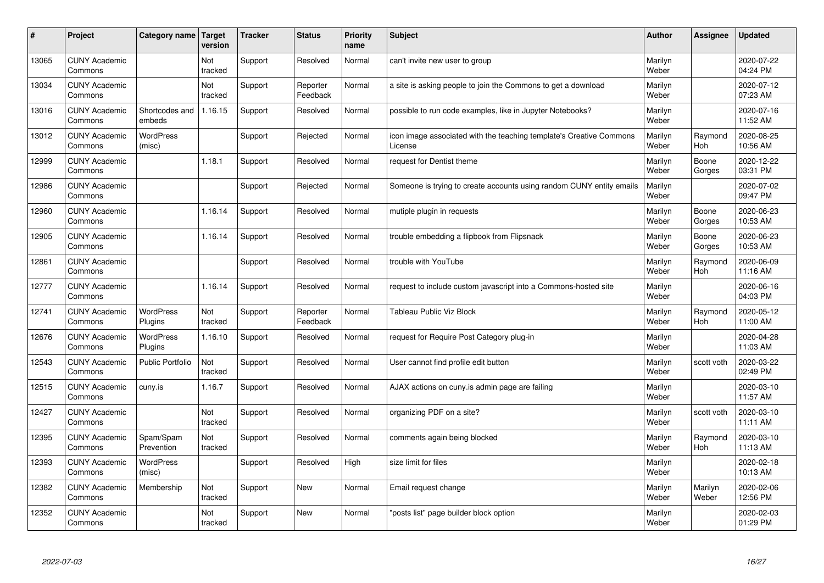| #     | Project                         | Category name   Target      | version        | <b>Tracker</b> | <b>Status</b>        | <b>Priority</b><br>name | <b>Subject</b>                                                                 | <b>Author</b>    | Assignee              | <b>Updated</b>         |
|-------|---------------------------------|-----------------------------|----------------|----------------|----------------------|-------------------------|--------------------------------------------------------------------------------|------------------|-----------------------|------------------------|
| 13065 | <b>CUNY Academic</b><br>Commons |                             | Not<br>tracked | Support        | Resolved             | Normal                  | can't invite new user to group                                                 | Marilyn<br>Weber |                       | 2020-07-22<br>04:24 PM |
| 13034 | <b>CUNY Academic</b><br>Commons |                             | Not<br>tracked | Support        | Reporter<br>Feedback | Normal                  | a site is asking people to join the Commons to get a download                  | Marilyn<br>Weber |                       | 2020-07-12<br>07:23 AM |
| 13016 | <b>CUNY Academic</b><br>Commons | Shortcodes and<br>embeds    | 1.16.15        | Support        | Resolved             | Normal                  | possible to run code examples, like in Jupyter Notebooks?                      | Marilyn<br>Weber |                       | 2020-07-16<br>11:52 AM |
| 13012 | <b>CUNY Academic</b><br>Commons | <b>WordPress</b><br>(misc)  |                | Support        | Rejected             | Normal                  | icon image associated with the teaching template's Creative Commons<br>License | Marilyn<br>Weber | Raymond<br>Hoh        | 2020-08-25<br>10:56 AM |
| 12999 | <b>CUNY Academic</b><br>Commons |                             | 1.18.1         | Support        | Resolved             | Normal                  | request for Dentist theme                                                      | Marilyn<br>Weber | Boone<br>Gorges       | 2020-12-22<br>03:31 PM |
| 12986 | <b>CUNY Academic</b><br>Commons |                             |                | Support        | Rejected             | Normal                  | Someone is trying to create accounts using random CUNY entity emails           | Marilyn<br>Weber |                       | 2020-07-02<br>09:47 PM |
| 12960 | <b>CUNY Academic</b><br>Commons |                             | 1.16.14        | Support        | Resolved             | Normal                  | mutiple plugin in requests                                                     | Marilyn<br>Weber | Boone<br>Gorges       | 2020-06-23<br>10:53 AM |
| 12905 | <b>CUNY Academic</b><br>Commons |                             | 1.16.14        | Support        | Resolved             | Normal                  | trouble embedding a flipbook from Flipsnack                                    | Marilyn<br>Weber | Boone<br>Gorges       | 2020-06-23<br>10:53 AM |
| 12861 | <b>CUNY Academic</b><br>Commons |                             |                | Support        | Resolved             | Normal                  | trouble with YouTube                                                           | Marilyn<br>Weber | Raymond<br>Hoh        | 2020-06-09<br>11:16 AM |
| 12777 | <b>CUNY Academic</b><br>Commons |                             | 1.16.14        | Support        | Resolved             | Normal                  | request to include custom javascript into a Commons-hosted site                | Marilyn<br>Weber |                       | 2020-06-16<br>04:03 PM |
| 12741 | <b>CUNY Academic</b><br>Commons | <b>WordPress</b><br>Plugins | Not<br>tracked | Support        | Reporter<br>Feedback | Normal                  | <b>Tableau Public Viz Block</b>                                                | Marilyn<br>Weber | Raymond<br><b>Hoh</b> | 2020-05-12<br>11:00 AM |
| 12676 | <b>CUNY Academic</b><br>Commons | <b>WordPress</b><br>Plugins | 1.16.10        | Support        | Resolved             | Normal                  | request for Require Post Category plug-in                                      | Marilyn<br>Weber |                       | 2020-04-28<br>11:03 AM |
| 12543 | <b>CUNY Academic</b><br>Commons | <b>Public Portfolio</b>     | Not<br>tracked | Support        | Resolved             | Normal                  | User cannot find profile edit button                                           | Marilyn<br>Weber | scott voth            | 2020-03-22<br>02:49 PM |
| 12515 | <b>CUNY Academic</b><br>Commons | cuny.is                     | 1.16.7         | Support        | Resolved             | Normal                  | AJAX actions on cuny is admin page are failing                                 | Marilyn<br>Weber |                       | 2020-03-10<br>11:57 AM |
| 12427 | <b>CUNY Academic</b><br>Commons |                             | Not<br>tracked | Support        | Resolved             | Normal                  | organizing PDF on a site?                                                      | Marilyn<br>Weber | scott voth            | 2020-03-10<br>11:11 AM |
| 12395 | <b>CUNY Academic</b><br>Commons | Spam/Spam<br>Prevention     | Not<br>tracked | Support        | Resolved             | Normal                  | comments again being blocked                                                   | Marilyn<br>Weber | Raymond<br><b>Hoh</b> | 2020-03-10<br>11:13 AM |
| 12393 | <b>CUNY Academic</b><br>Commons | WordPress<br>(misc)         |                | Support        | Resolved             | High                    | size limit for files                                                           | Marilyn<br>Weber |                       | 2020-02-18<br>10:13 AM |
| 12382 | <b>CUNY Academic</b><br>Commons | Membership                  | Not<br>tracked | Support        | <b>New</b>           | Normal                  | Email request change                                                           | Marilyn<br>Weber | Marilyn<br>Weber      | 2020-02-06<br>12:56 PM |
| 12352 | <b>CUNY Academic</b><br>Commons |                             | Not<br>tracked | Support        | <b>New</b>           | Normal                  | 'posts list" page builder block option                                         | Marilyn<br>Weber |                       | 2020-02-03<br>01:29 PM |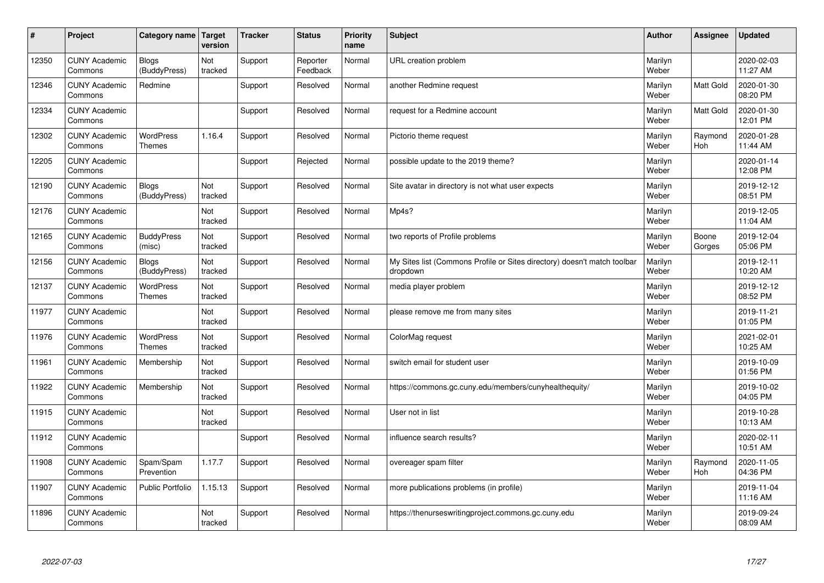| #     | Project                         | Category name   Target            | version        | <b>Tracker</b> | <b>Status</b>        | <b>Priority</b><br>name | <b>Subject</b>                                                                       | <b>Author</b>    | Assignee              | Updated                |
|-------|---------------------------------|-----------------------------------|----------------|----------------|----------------------|-------------------------|--------------------------------------------------------------------------------------|------------------|-----------------------|------------------------|
| 12350 | <b>CUNY Academic</b><br>Commons | <b>Blogs</b><br>(BuddyPress)      | Not<br>tracked | Support        | Reporter<br>Feedback | Normal                  | URL creation problem                                                                 | Marilyn<br>Weber |                       | 2020-02-03<br>11:27 AM |
| 12346 | <b>CUNY Academic</b><br>Commons | Redmine                           |                | Support        | Resolved             | Normal                  | another Redmine request                                                              | Marilyn<br>Weber | Matt Gold             | 2020-01-30<br>08:20 PM |
| 12334 | <b>CUNY Academic</b><br>Commons |                                   |                | Support        | Resolved             | Normal                  | request for a Redmine account                                                        | Marilyn<br>Weber | <b>Matt Gold</b>      | 2020-01-30<br>12:01 PM |
| 12302 | <b>CUNY Academic</b><br>Commons | <b>WordPress</b><br><b>Themes</b> | 1.16.4         | Support        | Resolved             | Normal                  | Pictorio theme request                                                               | Marilyn<br>Weber | Raymond<br><b>Hoh</b> | 2020-01-28<br>11:44 AM |
| 12205 | <b>CUNY Academic</b><br>Commons |                                   |                | Support        | Rejected             | Normal                  | possible update to the 2019 theme?                                                   | Marilyn<br>Weber |                       | 2020-01-14<br>12:08 PM |
| 12190 | <b>CUNY Academic</b><br>Commons | Blogs<br>(BuddyPress)             | Not<br>tracked | Support        | Resolved             | Normal                  | Site avatar in directory is not what user expects                                    | Marilyn<br>Weber |                       | 2019-12-12<br>08:51 PM |
| 12176 | <b>CUNY Academic</b><br>Commons |                                   | Not<br>tracked | Support        | Resolved             | Normal                  | Mp4s?                                                                                | Marilyn<br>Weber |                       | 2019-12-05<br>11:04 AM |
| 12165 | <b>CUNY Academic</b><br>Commons | <b>BuddyPress</b><br>(misc)       | Not<br>tracked | Support        | Resolved             | Normal                  | two reports of Profile problems                                                      | Marilyn<br>Weber | Boone<br>Gorges       | 2019-12-04<br>05:06 PM |
| 12156 | <b>CUNY Academic</b><br>Commons | <b>Blogs</b><br>(BuddyPress)      | Not<br>tracked | Support        | Resolved             | Normal                  | My Sites list (Commons Profile or Sites directory) doesn't match toolbar<br>dropdown | Marilyn<br>Weber |                       | 2019-12-11<br>10:20 AM |
| 12137 | <b>CUNY Academic</b><br>Commons | WordPress<br><b>Themes</b>        | Not<br>tracked | Support        | Resolved             | Normal                  | media player problem                                                                 | Marilyn<br>Weber |                       | 2019-12-12<br>08:52 PM |
| 11977 | <b>CUNY Academic</b><br>Commons |                                   | Not<br>tracked | Support        | Resolved             | Normal                  | please remove me from many sites                                                     | Marilyn<br>Weber |                       | 2019-11-21<br>01:05 PM |
| 11976 | <b>CUNY Academic</b><br>Commons | <b>WordPress</b><br><b>Themes</b> | Not<br>tracked | Support        | Resolved             | Normal                  | ColorMag request                                                                     | Marilyn<br>Weber |                       | 2021-02-01<br>10:25 AM |
| 11961 | <b>CUNY Academic</b><br>Commons | Membership                        | Not<br>tracked | Support        | Resolved             | Normal                  | switch email for student user                                                        | Marilyn<br>Weber |                       | 2019-10-09<br>01:56 PM |
| 11922 | <b>CUNY Academic</b><br>Commons | Membership                        | Not<br>tracked | Support        | Resolved             | Normal                  | https://commons.gc.cuny.edu/members/cunyhealthequity/                                | Marilyn<br>Weber |                       | 2019-10-02<br>04:05 PM |
| 11915 | <b>CUNY Academic</b><br>Commons |                                   | Not<br>tracked | Support        | Resolved             | Normal                  | User not in list                                                                     | Marilyn<br>Weber |                       | 2019-10-28<br>10:13 AM |
| 11912 | <b>CUNY Academic</b><br>Commons |                                   |                | Support        | Resolved             | Normal                  | influence search results?                                                            | Marilyn<br>Weber |                       | 2020-02-11<br>10:51 AM |
| 11908 | <b>CUNY Academic</b><br>Commons | Spam/Spam<br>Prevention           | 1.17.7         | Support        | Resolved             | Normal                  | overeager spam filter                                                                | Marilyn<br>Weber | Raymond<br>Hoh        | 2020-11-05<br>04:36 PM |
| 11907 | <b>CUNY Academic</b><br>Commons | Public Portfolio                  | 1.15.13        | Support        | Resolved             | Normal                  | more publications problems (in profile)                                              | Marilyn<br>Weber |                       | 2019-11-04<br>11:16 AM |
| 11896 | <b>CUNY Academic</b><br>Commons |                                   | Not<br>tracked | Support        | Resolved             | Normal                  | https://thenurseswritingproject.commons.gc.cuny.edu                                  | Marilyn<br>Weber |                       | 2019-09-24<br>08:09 AM |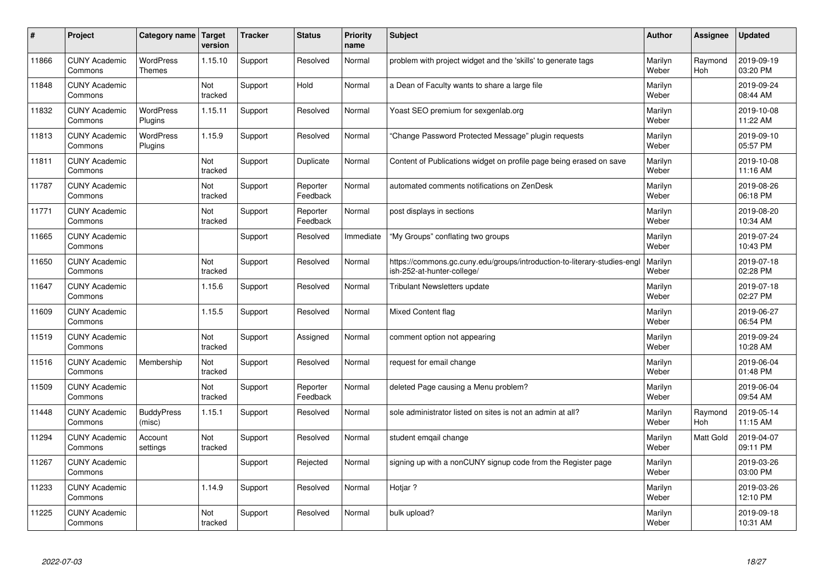| #     | Project                         | Category name                     | <b>Target</b><br>version | <b>Tracker</b> | <b>Status</b>        | Priority<br>name | <b>Subject</b>                                                                                        | <b>Author</b>    | Assignee       | <b>Updated</b>         |
|-------|---------------------------------|-----------------------------------|--------------------------|----------------|----------------------|------------------|-------------------------------------------------------------------------------------------------------|------------------|----------------|------------------------|
| 11866 | <b>CUNY Academic</b><br>Commons | <b>WordPress</b><br><b>Themes</b> | 1.15.10                  | Support        | Resolved             | Normal           | problem with project widget and the 'skills' to generate tags                                         | Marilyn<br>Weber | Raymond<br>Hoh | 2019-09-19<br>03:20 PM |
| 11848 | <b>CUNY Academic</b><br>Commons |                                   | Not<br>tracked           | Support        | Hold                 | Normal           | a Dean of Faculty wants to share a large file                                                         | Marilyn<br>Weber |                | 2019-09-24<br>08:44 AM |
| 11832 | <b>CUNY Academic</b><br>Commons | <b>WordPress</b><br>Plugins       | 1.15.11                  | Support        | Resolved             | Normal           | Yoast SEO premium for sexgenlab.org                                                                   | Marilyn<br>Weber |                | 2019-10-08<br>11:22 AM |
| 11813 | <b>CUNY Academic</b><br>Commons | <b>WordPress</b><br>Plugins       | 1.15.9                   | Support        | Resolved             | Normal           | 'Change Password Protected Message" plugin requests                                                   | Marilyn<br>Weber |                | 2019-09-10<br>05:57 PM |
| 11811 | <b>CUNY Academic</b><br>Commons |                                   | Not<br>tracked           | Support        | Duplicate            | Normal           | Content of Publications widget on profile page being erased on save                                   | Marilyn<br>Weber |                | 2019-10-08<br>11:16 AM |
| 11787 | <b>CUNY Academic</b><br>Commons |                                   | Not<br>tracked           | Support        | Reporter<br>Feedback | Normal           | automated comments notifications on ZenDesk                                                           | Marilyn<br>Weber |                | 2019-08-26<br>06:18 PM |
| 11771 | <b>CUNY Academic</b><br>Commons |                                   | Not<br>tracked           | Support        | Reporter<br>Feedback | Normal           | post displays in sections                                                                             | Marilyn<br>Weber |                | 2019-08-20<br>10:34 AM |
| 11665 | <b>CUNY Academic</b><br>Commons |                                   |                          | Support        | Resolved             | Immediate        | "My Groups" conflating two groups                                                                     | Marilyn<br>Weber |                | 2019-07-24<br>10:43 PM |
| 11650 | <b>CUNY Academic</b><br>Commons |                                   | Not<br>tracked           | Support        | Resolved             | Normal           | https://commons.gc.cuny.edu/groups/introduction-to-literary-studies-eng<br>ish-252-at-hunter-college/ | Marilyn<br>Weber |                | 2019-07-18<br>02:28 PM |
| 11647 | <b>CUNY Academic</b><br>Commons |                                   | 1.15.6                   | Support        | Resolved             | Normal           | Tribulant Newsletters update                                                                          | Marilyn<br>Weber |                | 2019-07-18<br>02:27 PM |
| 11609 | <b>CUNY Academic</b><br>Commons |                                   | 1.15.5                   | Support        | Resolved             | Normal           | Mixed Content flag                                                                                    | Marilyn<br>Weber |                | 2019-06-27<br>06:54 PM |
| 11519 | <b>CUNY Academic</b><br>Commons |                                   | Not<br>tracked           | Support        | Assigned             | Normal           | comment option not appearing                                                                          | Marilyn<br>Weber |                | 2019-09-24<br>10:28 AM |
| 11516 | <b>CUNY Academic</b><br>Commons | Membership                        | Not<br>tracked           | Support        | Resolved             | Normal           | request for email change                                                                              | Marilyn<br>Weber |                | 2019-06-04<br>01:48 PM |
| 11509 | <b>CUNY Academic</b><br>Commons |                                   | Not<br>tracked           | Support        | Reporter<br>Feedback | Normal           | deleted Page causing a Menu problem?                                                                  | Marilyn<br>Weber |                | 2019-06-04<br>09:54 AM |
| 11448 | <b>CUNY Academic</b><br>Commons | <b>BuddyPress</b><br>(misc)       | 1.15.1                   | Support        | Resolved             | Normal           | sole administrator listed on sites is not an admin at all?                                            | Marilyn<br>Weber | Raymond<br>Hoh | 2019-05-14<br>11:15 AM |
| 11294 | <b>CUNY Academic</b><br>Commons | Account<br>settings               | Not<br>tracked           | Support        | Resolved             | Normal           | student emgail change                                                                                 | Marilyn<br>Weber | Matt Gold      | 2019-04-07<br>09:11 PM |
| 11267 | <b>CUNY Academic</b><br>Commons |                                   |                          | Support        | Rejected             | Normal           | signing up with a nonCUNY signup code from the Register page                                          | Marilyn<br>Weber |                | 2019-03-26<br>03:00 PM |
| 11233 | <b>CUNY Academic</b><br>Commons |                                   | 1.14.9                   | Support        | Resolved             | Normal           | Hotjar ?                                                                                              | Marilyn<br>Weber |                | 2019-03-26<br>12:10 PM |
| 11225 | <b>CUNY Academic</b><br>Commons |                                   | Not<br>tracked           | Support        | Resolved             | Normal           | bulk upload?                                                                                          | Marilyn<br>Weber |                | 2019-09-18<br>10:31 AM |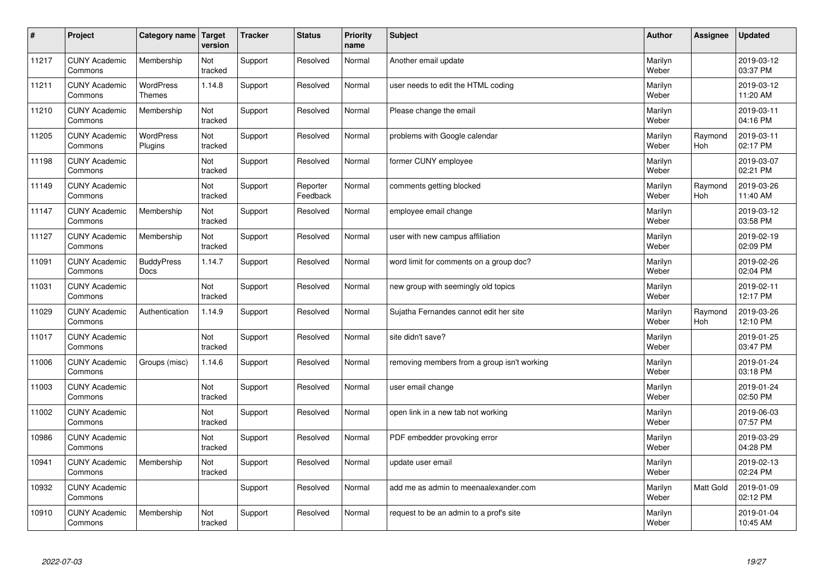| #     | Project                         | Category name                     | Target<br>version | <b>Tracker</b> | <b>Status</b>        | <b>Priority</b><br>name | <b>Subject</b>                              | <b>Author</b>    | Assignee              | <b>Updated</b>         |
|-------|---------------------------------|-----------------------------------|-------------------|----------------|----------------------|-------------------------|---------------------------------------------|------------------|-----------------------|------------------------|
| 11217 | <b>CUNY Academic</b><br>Commons | Membership                        | Not<br>tracked    | Support        | Resolved             | Normal                  | Another email update                        | Marilyn<br>Weber |                       | 2019-03-12<br>03:37 PM |
| 11211 | <b>CUNY Academic</b><br>Commons | <b>WordPress</b><br><b>Themes</b> | 1.14.8            | Support        | Resolved             | Normal                  | user needs to edit the HTML coding          | Marilyn<br>Weber |                       | 2019-03-12<br>11:20 AM |
| 11210 | <b>CUNY Academic</b><br>Commons | Membership                        | Not<br>tracked    | Support        | Resolved             | Normal                  | Please change the email                     | Marilyn<br>Weber |                       | 2019-03-11<br>04:16 PM |
| 11205 | <b>CUNY Academic</b><br>Commons | <b>WordPress</b><br>Plugins       | Not<br>tracked    | Support        | Resolved             | Normal                  | problems with Google calendar               | Marilyn<br>Weber | Raymond<br><b>Hoh</b> | 2019-03-11<br>02:17 PM |
| 11198 | <b>CUNY Academic</b><br>Commons |                                   | Not<br>tracked    | Support        | Resolved             | Normal                  | former CUNY employee                        | Marilyn<br>Weber |                       | 2019-03-07<br>02:21 PM |
| 11149 | <b>CUNY Academic</b><br>Commons |                                   | Not<br>tracked    | Support        | Reporter<br>Feedback | Normal                  | comments getting blocked                    | Marilyn<br>Weber | Raymond<br>Hoh        | 2019-03-26<br>11:40 AM |
| 11147 | <b>CUNY Academic</b><br>Commons | Membership                        | Not<br>tracked    | Support        | Resolved             | Normal                  | employee email change                       | Marilyn<br>Weber |                       | 2019-03-12<br>03:58 PM |
| 11127 | <b>CUNY Academic</b><br>Commons | Membership                        | Not<br>tracked    | Support        | Resolved             | Normal                  | user with new campus affiliation            | Marilyn<br>Weber |                       | 2019-02-19<br>02:09 PM |
| 11091 | <b>CUNY Academic</b><br>Commons | <b>BuddyPress</b><br><b>Docs</b>  | 1.14.7            | Support        | Resolved             | Normal                  | word limit for comments on a group doc?     | Marilyn<br>Weber |                       | 2019-02-26<br>02:04 PM |
| 11031 | <b>CUNY Academic</b><br>Commons |                                   | Not<br>tracked    | Support        | Resolved             | Normal                  | new group with seemingly old topics         | Marilyn<br>Weber |                       | 2019-02-11<br>12:17 PM |
| 11029 | <b>CUNY Academic</b><br>Commons | Authentication                    | 1.14.9            | Support        | Resolved             | Normal                  | Sujatha Fernandes cannot edit her site      | Marilyn<br>Weber | Raymond<br>Hoh        | 2019-03-26<br>12:10 PM |
| 11017 | <b>CUNY Academic</b><br>Commons |                                   | Not<br>tracked    | Support        | Resolved             | Normal                  | site didn't save?                           | Marilyn<br>Weber |                       | 2019-01-25<br>03:47 PM |
| 11006 | <b>CUNY Academic</b><br>Commons | Groups (misc)                     | 1.14.6            | Support        | Resolved             | Normal                  | removing members from a group isn't working | Marilyn<br>Weber |                       | 2019-01-24<br>03:18 PM |
| 11003 | <b>CUNY Academic</b><br>Commons |                                   | Not<br>tracked    | Support        | Resolved             | Normal                  | user email change                           | Marilyn<br>Weber |                       | 2019-01-24<br>02:50 PM |
| 11002 | <b>CUNY Academic</b><br>Commons |                                   | Not<br>tracked    | Support        | Resolved             | Normal                  | open link in a new tab not working          | Marilyn<br>Weber |                       | 2019-06-03<br>07:57 PM |
| 10986 | <b>CUNY Academic</b><br>Commons |                                   | Not<br>tracked    | Support        | Resolved             | Normal                  | PDF embedder provoking error                | Marilyn<br>Weber |                       | 2019-03-29<br>04:28 PM |
| 10941 | <b>CUNY Academic</b><br>Commons | Membership                        | Not<br>tracked    | Support        | Resolved             | Normal                  | update user email                           | Marilyn<br>Weber |                       | 2019-02-13<br>02:24 PM |
| 10932 | <b>CUNY Academic</b><br>Commons |                                   |                   | Support        | Resolved             | Normal                  | add me as admin to meenaalexander.com       | Marilyn<br>Weber | <b>Matt Gold</b>      | 2019-01-09<br>02:12 PM |
| 10910 | <b>CUNY Academic</b><br>Commons | Membership                        | Not<br>tracked    | Support        | Resolved             | Normal                  | request to be an admin to a prof's site     | Marilyn<br>Weber |                       | 2019-01-04<br>10:45 AM |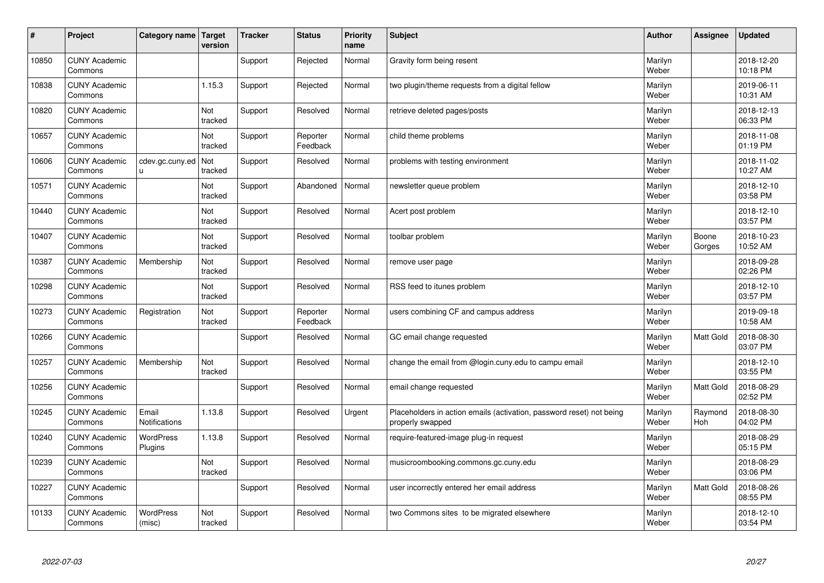| #     | Project                         | Category name   Target        | version        | <b>Tracker</b> | <b>Status</b>        | <b>Priority</b><br>name | <b>Subject</b>                                                                           | <b>Author</b>    | Assignee              | Updated                |
|-------|---------------------------------|-------------------------------|----------------|----------------|----------------------|-------------------------|------------------------------------------------------------------------------------------|------------------|-----------------------|------------------------|
| 10850 | <b>CUNY Academic</b><br>Commons |                               |                | Support        | Rejected             | Normal                  | Gravity form being resent                                                                | Marilyn<br>Weber |                       | 2018-12-20<br>10:18 PM |
| 10838 | <b>CUNY Academic</b><br>Commons |                               | 1.15.3         | Support        | Rejected             | Normal                  | two plugin/theme requests from a digital fellow                                          | Marilyn<br>Weber |                       | 2019-06-11<br>10:31 AM |
| 10820 | <b>CUNY Academic</b><br>Commons |                               | Not<br>tracked | Support        | Resolved             | Normal                  | retrieve deleted pages/posts                                                             | Marilyn<br>Weber |                       | 2018-12-13<br>06:33 PM |
| 10657 | <b>CUNY Academic</b><br>Commons |                               | Not<br>tracked | Support        | Reporter<br>Feedback | Normal                  | child theme problems                                                                     | Marilyn<br>Weber |                       | 2018-11-08<br>01:19 PM |
| 10606 | <b>CUNY Academic</b><br>Commons | cdev.gc.cuny.ed<br>u.         | Not<br>tracked | Support        | Resolved             | Normal                  | problems with testing environment                                                        | Marilyn<br>Weber |                       | 2018-11-02<br>10:27 AM |
| 10571 | <b>CUNY Academic</b><br>Commons |                               | Not<br>tracked | Support        | Abandoned            | Normal                  | newsletter queue problem                                                                 | Marilyn<br>Weber |                       | 2018-12-10<br>03:58 PM |
| 10440 | <b>CUNY Academic</b><br>Commons |                               | Not<br>tracked | Support        | Resolved             | Normal                  | Acert post problem                                                                       | Marilyn<br>Weber |                       | 2018-12-10<br>03:57 PM |
| 10407 | <b>CUNY Academic</b><br>Commons |                               | Not<br>tracked | Support        | Resolved             | Normal                  | toolbar problem                                                                          | Marilyn<br>Weber | Boone<br>Gorges       | 2018-10-23<br>10:52 AM |
| 10387 | <b>CUNY Academic</b><br>Commons | Membership                    | Not<br>tracked | Support        | Resolved             | Normal                  | remove user page                                                                         | Marilyn<br>Weber |                       | 2018-09-28<br>02:26 PM |
| 10298 | <b>CUNY Academic</b><br>Commons |                               | Not<br>tracked | Support        | Resolved             | Normal                  | RSS feed to itunes problem                                                               | Marilyn<br>Weber |                       | 2018-12-10<br>03:57 PM |
| 10273 | <b>CUNY Academic</b><br>Commons | Registration                  | Not<br>tracked | Support        | Reporter<br>Feedback | Normal                  | users combining CF and campus address                                                    | Marilyn<br>Weber |                       | 2019-09-18<br>10:58 AM |
| 10266 | <b>CUNY Academic</b><br>Commons |                               |                | Support        | Resolved             | Normal                  | GC email change requested                                                                | Marilyn<br>Weber | <b>Matt Gold</b>      | 2018-08-30<br>03:07 PM |
| 10257 | <b>CUNY Academic</b><br>Commons | Membership                    | Not<br>tracked | Support        | Resolved             | Normal                  | change the email from @login.cuny.edu to campu email                                     | Marilyn<br>Weber |                       | 2018-12-10<br>03:55 PM |
| 10256 | <b>CUNY Academic</b><br>Commons |                               |                | Support        | Resolved             | Normal                  | email change requested                                                                   | Marilyn<br>Weber | <b>Matt Gold</b>      | 2018-08-29<br>02:52 PM |
| 10245 | <b>CUNY Academic</b><br>Commons | Email<br><b>Notifications</b> | 1.13.8         | Support        | Resolved             | Urgent                  | Placeholders in action emails (activation, password reset) not being<br>properly swapped | Marilyn<br>Weber | Raymond<br><b>Hoh</b> | 2018-08-30<br>04:02 PM |
| 10240 | <b>CUNY Academic</b><br>Commons | WordPress<br>Plugins          | 1.13.8         | Support        | Resolved             | Normal                  | require-featured-image plug-in request                                                   | Marilyn<br>Weber |                       | 2018-08-29<br>05:15 PM |
| 10239 | <b>CUNY Academic</b><br>Commons |                               | Not<br>tracked | Support        | Resolved             | Normal                  | musicroombooking.commons.gc.cuny.edu                                                     | Marilyn<br>Weber |                       | 2018-08-29<br>03:06 PM |
| 10227 | <b>CUNY Academic</b><br>Commons |                               |                | Support        | Resolved             | Normal                  | user incorrectly entered her email address                                               | Marilyn<br>Weber | Matt Gold             | 2018-08-26<br>08:55 PM |
| 10133 | <b>CUNY Academic</b><br>Commons | <b>WordPress</b><br>(misc)    | Not<br>tracked | Support        | Resolved             | Normal                  | two Commons sites to be migrated elsewhere                                               | Marilyn<br>Weber |                       | 2018-12-10<br>03:54 PM |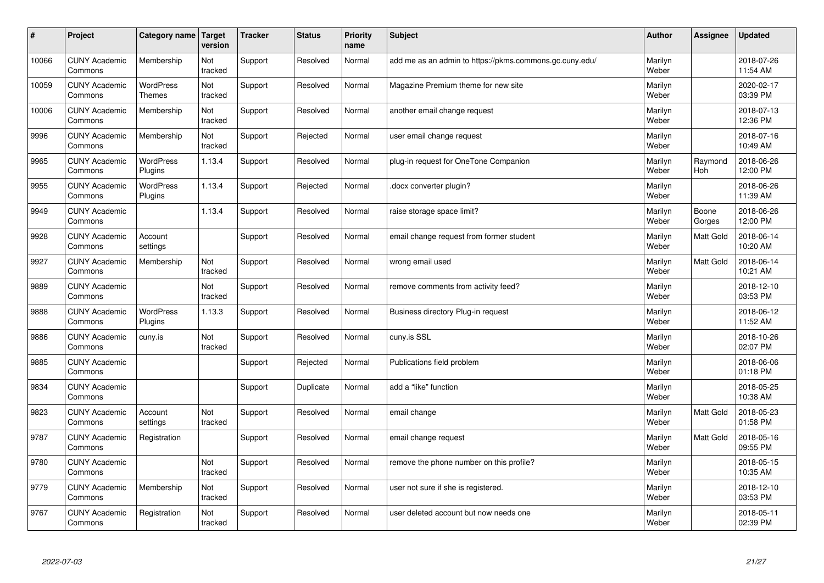| $\pmb{\#}$ | Project                         | Category name                     | Target<br>version | <b>Tracker</b> | <b>Status</b> | <b>Priority</b><br>name | <b>Subject</b>                                          | <b>Author</b>    | Assignee        | <b>Updated</b>         |
|------------|---------------------------------|-----------------------------------|-------------------|----------------|---------------|-------------------------|---------------------------------------------------------|------------------|-----------------|------------------------|
| 10066      | <b>CUNY Academic</b><br>Commons | Membership                        | Not<br>tracked    | Support        | Resolved      | Normal                  | add me as an admin to https://pkms.commons.gc.cuny.edu/ | Marilyn<br>Weber |                 | 2018-07-26<br>11:54 AM |
| 10059      | <b>CUNY Academic</b><br>Commons | <b>WordPress</b><br><b>Themes</b> | Not<br>tracked    | Support        | Resolved      | Normal                  | Magazine Premium theme for new site                     | Marilyn<br>Weber |                 | 2020-02-17<br>03:39 PM |
| 10006      | <b>CUNY Academic</b><br>Commons | Membership                        | Not<br>tracked    | Support        | Resolved      | Normal                  | another email change request                            | Marilyn<br>Weber |                 | 2018-07-13<br>12:36 PM |
| 9996       | <b>CUNY Academic</b><br>Commons | Membership                        | Not<br>tracked    | Support        | Rejected      | Normal                  | user email change request                               | Marilyn<br>Weber |                 | 2018-07-16<br>10:49 AM |
| 9965       | <b>CUNY Academic</b><br>Commons | <b>WordPress</b><br>Plugins       | 1.13.4            | Support        | Resolved      | Normal                  | plug-in request for OneTone Companion                   | Marilyn<br>Weber | Raymond<br>Hoh  | 2018-06-26<br>12:00 PM |
| 9955       | <b>CUNY Academic</b><br>Commons | WordPress<br>Plugins              | 1.13.4            | Support        | Rejected      | Normal                  | docx converter plugin?                                  | Marilyn<br>Weber |                 | 2018-06-26<br>11:39 AM |
| 9949       | <b>CUNY Academic</b><br>Commons |                                   | 1.13.4            | Support        | Resolved      | Normal                  | raise storage space limit?                              | Marilyn<br>Weber | Boone<br>Gorges | 2018-06-26<br>12:00 PM |
| 9928       | <b>CUNY Academic</b><br>Commons | Account<br>settings               |                   | Support        | Resolved      | Normal                  | email change request from former student                | Marilyn<br>Weber | Matt Gold       | 2018-06-14<br>10:20 AM |
| 9927       | <b>CUNY Academic</b><br>Commons | Membership                        | Not<br>tracked    | Support        | Resolved      | Normal                  | wrong email used                                        | Marilyn<br>Weber | Matt Gold       | 2018-06-14<br>10:21 AM |
| 9889       | <b>CUNY Academic</b><br>Commons |                                   | Not<br>tracked    | Support        | Resolved      | Normal                  | remove comments from activity feed?                     | Marilyn<br>Weber |                 | 2018-12-10<br>03:53 PM |
| 9888       | <b>CUNY Academic</b><br>Commons | WordPress<br>Plugins              | 1.13.3            | Support        | Resolved      | Normal                  | Business directory Plug-in request                      | Marilyn<br>Weber |                 | 2018-06-12<br>11:52 AM |
| 9886       | <b>CUNY Academic</b><br>Commons | cuny.is                           | Not<br>tracked    | Support        | Resolved      | Normal                  | cuny.is SSL                                             | Marilyn<br>Weber |                 | 2018-10-26<br>02:07 PM |
| 9885       | <b>CUNY Academic</b><br>Commons |                                   |                   | Support        | Rejected      | Normal                  | Publications field problem                              | Marilyn<br>Weber |                 | 2018-06-06<br>01:18 PM |
| 9834       | <b>CUNY Academic</b><br>Commons |                                   |                   | Support        | Duplicate     | Normal                  | add a "like" function                                   | Marilyn<br>Weber |                 | 2018-05-25<br>10:38 AM |
| 9823       | <b>CUNY Academic</b><br>Commons | Account<br>settings               | Not<br>tracked    | Support        | Resolved      | Normal                  | email change                                            | Marilyn<br>Weber | Matt Gold       | 2018-05-23<br>01:58 PM |
| 9787       | <b>CUNY Academic</b><br>Commons | Registration                      |                   | Support        | Resolved      | Normal                  | email change request                                    | Marilyn<br>Weber | Matt Gold       | 2018-05-16<br>09:55 PM |
| 9780       | <b>CUNY Academic</b><br>Commons |                                   | Not<br>tracked    | Support        | Resolved      | Normal                  | remove the phone number on this profile?                | Marilyn<br>Weber |                 | 2018-05-15<br>10:35 AM |
| 9779       | <b>CUNY Academic</b><br>Commons | Membership                        | Not<br>tracked    | Support        | Resolved      | Normal                  | user not sure if she is registered.                     | Marilyn<br>Weber |                 | 2018-12-10<br>03:53 PM |
| 9767       | <b>CUNY Academic</b><br>Commons | Registration                      | Not<br>tracked    | Support        | Resolved      | Normal                  | user deleted account but now needs one                  | Marilyn<br>Weber |                 | 2018-05-11<br>02:39 PM |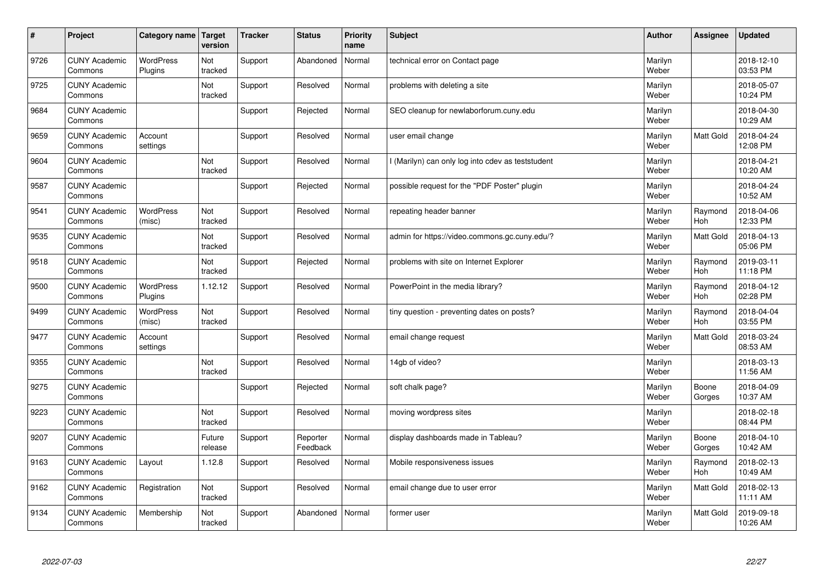| $\sharp$ | Project                         | Category name   Target      | version           | <b>Tracker</b> | <b>Status</b>        | <b>Priority</b><br>name | <b>Subject</b>                                    | <b>Author</b>    | Assignee              | <b>Updated</b>         |
|----------|---------------------------------|-----------------------------|-------------------|----------------|----------------------|-------------------------|---------------------------------------------------|------------------|-----------------------|------------------------|
| 9726     | <b>CUNY Academic</b><br>Commons | <b>WordPress</b><br>Plugins | Not<br>tracked    | Support        | Abandoned            | Normal                  | technical error on Contact page                   | Marilyn<br>Weber |                       | 2018-12-10<br>03:53 PM |
| 9725     | <b>CUNY Academic</b><br>Commons |                             | Not<br>tracked    | Support        | Resolved             | Normal                  | problems with deleting a site                     | Marilyn<br>Weber |                       | 2018-05-07<br>10:24 PM |
| 9684     | <b>CUNY Academic</b><br>Commons |                             |                   | Support        | Rejected             | Normal                  | SEO cleanup for newlaborforum.cuny.edu            | Marilyn<br>Weber |                       | 2018-04-30<br>10:29 AM |
| 9659     | <b>CUNY Academic</b><br>Commons | Account<br>settings         |                   | Support        | Resolved             | Normal                  | user email change                                 | Marilyn<br>Weber | <b>Matt Gold</b>      | 2018-04-24<br>12:08 PM |
| 9604     | <b>CUNY Academic</b><br>Commons |                             | Not<br>tracked    | Support        | Resolved             | Normal                  | I (Marilyn) can only log into cdev as teststudent | Marilyn<br>Weber |                       | 2018-04-21<br>10:20 AM |
| 9587     | <b>CUNY Academic</b><br>Commons |                             |                   | Support        | Rejected             | Normal                  | possible request for the "PDF Poster" plugin      | Marilyn<br>Weber |                       | 2018-04-24<br>10:52 AM |
| 9541     | <b>CUNY Academic</b><br>Commons | <b>WordPress</b><br>(misc)  | Not<br>tracked    | Support        | Resolved             | Normal                  | repeating header banner                           | Marilyn<br>Weber | Raymond<br>Hoh        | 2018-04-06<br>12:33 PM |
| 9535     | <b>CUNY Academic</b><br>Commons |                             | Not<br>tracked    | Support        | Resolved             | Normal                  | admin for https://video.commons.gc.cuny.edu/?     | Marilyn<br>Weber | Matt Gold             | 2018-04-13<br>05:06 PM |
| 9518     | <b>CUNY Academic</b><br>Commons |                             | Not<br>tracked    | Support        | Rejected             | Normal                  | problems with site on Internet Explorer           | Marilyn<br>Weber | Raymond<br>Hoh        | 2019-03-11<br>11:18 PM |
| 9500     | <b>CUNY Academic</b><br>Commons | <b>WordPress</b><br>Plugins | 1.12.12           | Support        | Resolved             | Normal                  | PowerPoint in the media library?                  | Marilyn<br>Weber | Raymond<br><b>Hoh</b> | 2018-04-12<br>02:28 PM |
| 9499     | <b>CUNY Academic</b><br>Commons | WordPress<br>(misc)         | Not<br>tracked    | Support        | Resolved             | Normal                  | tiny question - preventing dates on posts?        | Marilyn<br>Weber | Raymond<br><b>Hoh</b> | 2018-04-04<br>03:55 PM |
| 9477     | <b>CUNY Academic</b><br>Commons | Account<br>settings         |                   | Support        | Resolved             | Normal                  | email change request                              | Marilyn<br>Weber | Matt Gold             | 2018-03-24<br>08:53 AM |
| 9355     | <b>CUNY Academic</b><br>Commons |                             | Not<br>tracked    | Support        | Resolved             | Normal                  | 14gb of video?                                    | Marilyn<br>Weber |                       | 2018-03-13<br>11:56 AM |
| 9275     | <b>CUNY Academic</b><br>Commons |                             |                   | Support        | Rejected             | Normal                  | soft chalk page?                                  | Marilyn<br>Weber | Boone<br>Gorges       | 2018-04-09<br>10:37 AM |
| 9223     | <b>CUNY Academic</b><br>Commons |                             | Not<br>tracked    | Support        | Resolved             | Normal                  | moving wordpress sites                            | Marilyn<br>Weber |                       | 2018-02-18<br>08:44 PM |
| 9207     | <b>CUNY Academic</b><br>Commons |                             | Future<br>release | Support        | Reporter<br>Feedback | Normal                  | display dashboards made in Tableau?               | Marilyn<br>Weber | Boone<br>Gorges       | 2018-04-10<br>10:42 AM |
| 9163     | <b>CUNY Academic</b><br>Commons | Layout                      | 1.12.8            | Support        | Resolved             | Normal                  | Mobile responsiveness issues                      | Marilyn<br>Weber | Raymond<br><b>Hoh</b> | 2018-02-13<br>10:49 AM |
| 9162     | <b>CUNY Academic</b><br>Commons | Registration                | Not<br>tracked    | Support        | Resolved             | Normal                  | email change due to user error                    | Marilyn<br>Weber | Matt Gold             | 2018-02-13<br>11:11 AM |
| 9134     | <b>CUNY Academic</b><br>Commons | Membership                  | Not<br>tracked    | Support        | Abandoned            | Normal                  | former user                                       | Marilyn<br>Weber | <b>Matt Gold</b>      | 2019-09-18<br>10:26 AM |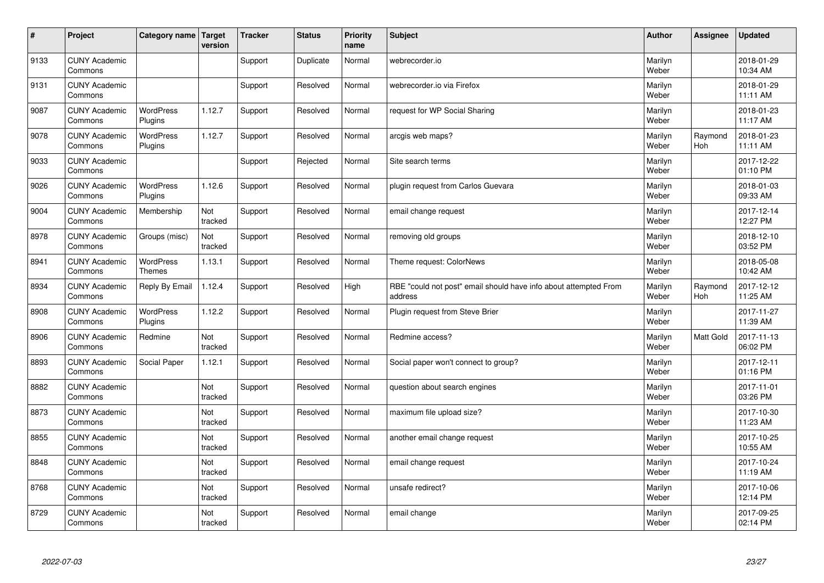| #    | Project                         | Category name Target        | version        | <b>Tracker</b> | <b>Status</b> | <b>Priority</b><br>name | <b>Subject</b>                                                              | <b>Author</b>    | <b>Assignee</b> | <b>Updated</b>         |
|------|---------------------------------|-----------------------------|----------------|----------------|---------------|-------------------------|-----------------------------------------------------------------------------|------------------|-----------------|------------------------|
| 9133 | <b>CUNY Academic</b><br>Commons |                             |                | Support        | Duplicate     | Normal                  | webrecorder.io                                                              | Marilyn<br>Weber |                 | 2018-01-29<br>10:34 AM |
| 9131 | <b>CUNY Academic</b><br>Commons |                             |                | Support        | Resolved      | Normal                  | webrecorder.io via Firefox                                                  | Marilyn<br>Weber |                 | 2018-01-29<br>11:11 AM |
| 9087 | <b>CUNY Academic</b><br>Commons | <b>WordPress</b><br>Plugins | 1.12.7         | Support        | Resolved      | Normal                  | request for WP Social Sharing                                               | Marilyn<br>Weber |                 | 2018-01-23<br>11:17 AM |
| 9078 | <b>CUNY Academic</b><br>Commons | <b>WordPress</b><br>Plugins | 1.12.7         | Support        | Resolved      | Normal                  | arcgis web maps?                                                            | Marilyn<br>Weber | Raymond<br>Hoh  | 2018-01-23<br>11:11 AM |
| 9033 | <b>CUNY Academic</b><br>Commons |                             |                | Support        | Rejected      | Normal                  | Site search terms                                                           | Marilyn<br>Weber |                 | 2017-12-22<br>01:10 PM |
| 9026 | <b>CUNY Academic</b><br>Commons | <b>WordPress</b><br>Plugins | 1.12.6         | Support        | Resolved      | Normal                  | plugin request from Carlos Guevara                                          | Marilyn<br>Weber |                 | 2018-01-03<br>09:33 AM |
| 9004 | <b>CUNY Academic</b><br>Commons | Membership                  | Not<br>tracked | Support        | Resolved      | Normal                  | email change request                                                        | Marilyn<br>Weber |                 | 2017-12-14<br>12:27 PM |
| 8978 | <b>CUNY Academic</b><br>Commons | Groups (misc)               | Not<br>tracked | Support        | Resolved      | Normal                  | removing old groups                                                         | Marilyn<br>Weber |                 | 2018-12-10<br>03:52 PM |
| 8941 | <b>CUNY Academic</b><br>Commons | WordPress<br><b>Themes</b>  | 1.13.1         | Support        | Resolved      | Normal                  | Theme request: ColorNews                                                    | Marilyn<br>Weber |                 | 2018-05-08<br>10:42 AM |
| 8934 | <b>CUNY Academic</b><br>Commons | Reply By Email              | 1.12.4         | Support        | Resolved      | High                    | RBE "could not post" email should have info about attempted From<br>address | Marilyn<br>Weber | Raymond<br>Hoh  | 2017-12-12<br>11:25 AM |
| 8908 | <b>CUNY Academic</b><br>Commons | WordPress<br>Plugins        | 1.12.2         | Support        | Resolved      | Normal                  | Plugin request from Steve Brier                                             | Marilyn<br>Weber |                 | 2017-11-27<br>11:39 AM |
| 8906 | <b>CUNY Academic</b><br>Commons | Redmine                     | Not<br>tracked | Support        | Resolved      | Normal                  | Redmine access?                                                             | Marilyn<br>Weber | Matt Gold       | 2017-11-13<br>06:02 PM |
| 8893 | <b>CUNY Academic</b><br>Commons | Social Paper                | 1.12.1         | Support        | Resolved      | Normal                  | Social paper won't connect to group?                                        | Marilyn<br>Weber |                 | 2017-12-11<br>01:16 PM |
| 8882 | <b>CUNY Academic</b><br>Commons |                             | Not<br>tracked | Support        | Resolved      | Normal                  | question about search engines                                               | Marilyn<br>Weber |                 | 2017-11-01<br>03:26 PM |
| 8873 | <b>CUNY Academic</b><br>Commons |                             | Not<br>tracked | Support        | Resolved      | Normal                  | maximum file upload size?                                                   | Marilyn<br>Weber |                 | 2017-10-30<br>11:23 AM |
| 8855 | <b>CUNY Academic</b><br>Commons |                             | Not<br>tracked | Support        | Resolved      | Normal                  | another email change request                                                | Marilyn<br>Weber |                 | 2017-10-25<br>10:55 AM |
| 8848 | <b>CUNY Academic</b><br>Commons |                             | Not<br>tracked | Support        | Resolved      | Normal                  | email change request                                                        | Marilyn<br>Weber |                 | 2017-10-24<br>11:19 AM |
| 8768 | <b>CUNY Academic</b><br>Commons |                             | Not<br>tracked | Support        | Resolved      | Normal                  | unsafe redirect?                                                            | Marilyn<br>Weber |                 | 2017-10-06<br>12:14 PM |
| 8729 | <b>CUNY Academic</b><br>Commons |                             | Not<br>tracked | Support        | Resolved      | Normal                  | email change                                                                | Marilyn<br>Weber |                 | 2017-09-25<br>02:14 PM |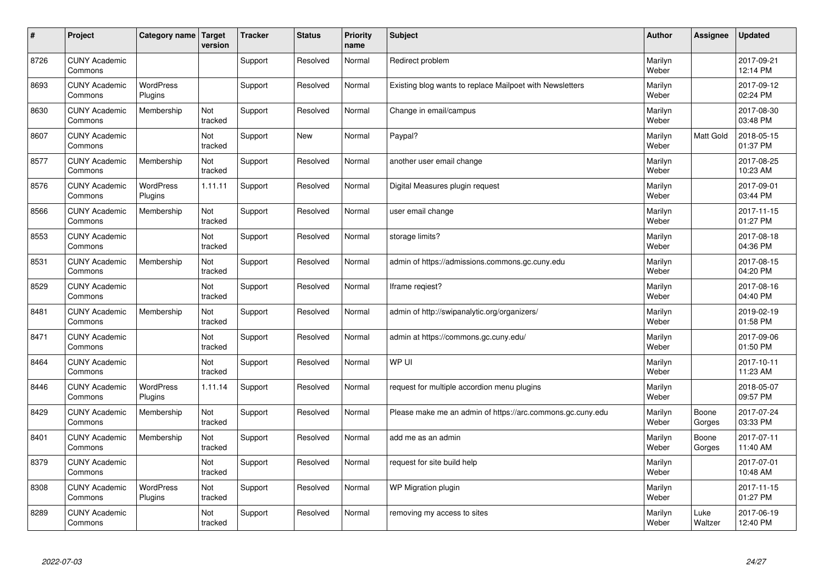| #    | Project                         | Category name   Target      | version        | <b>Tracker</b> | <b>Status</b> | <b>Priority</b><br>name | <b>Subject</b>                                             | <b>Author</b>    | Assignee        | <b>Updated</b>         |
|------|---------------------------------|-----------------------------|----------------|----------------|---------------|-------------------------|------------------------------------------------------------|------------------|-----------------|------------------------|
| 8726 | <b>CUNY Academic</b><br>Commons |                             |                | Support        | Resolved      | Normal                  | Redirect problem                                           | Marilyn<br>Weber |                 | 2017-09-21<br>12:14 PM |
| 8693 | <b>CUNY Academic</b><br>Commons | <b>WordPress</b><br>Plugins |                | Support        | Resolved      | Normal                  | Existing blog wants to replace Mailpoet with Newsletters   | Marilyn<br>Weber |                 | 2017-09-12<br>02:24 PM |
| 8630 | <b>CUNY Academic</b><br>Commons | Membership                  | Not<br>tracked | Support        | Resolved      | Normal                  | Change in email/campus                                     | Marilyn<br>Weber |                 | 2017-08-30<br>03:48 PM |
| 8607 | <b>CUNY Academic</b><br>Commons |                             | Not<br>tracked | Support        | <b>New</b>    | Normal                  | Paypal?                                                    | Marilyn<br>Weber | Matt Gold       | 2018-05-15<br>01:37 PM |
| 8577 | <b>CUNY Academic</b><br>Commons | Membership                  | Not<br>tracked | Support        | Resolved      | Normal                  | another user email change                                  | Marilyn<br>Weber |                 | 2017-08-25<br>10:23 AM |
| 8576 | <b>CUNY Academic</b><br>Commons | <b>WordPress</b><br>Plugins | 1.11.11        | Support        | Resolved      | Normal                  | Digital Measures plugin request                            | Marilyn<br>Weber |                 | 2017-09-01<br>03:44 PM |
| 8566 | <b>CUNY Academic</b><br>Commons | Membership                  | Not<br>tracked | Support        | Resolved      | Normal                  | user email change                                          | Marilyn<br>Weber |                 | 2017-11-15<br>01:27 PM |
| 8553 | <b>CUNY Academic</b><br>Commons |                             | Not<br>tracked | Support        | Resolved      | Normal                  | storage limits?                                            | Marilyn<br>Weber |                 | 2017-08-18<br>04:36 PM |
| 8531 | <b>CUNY Academic</b><br>Commons | Membership                  | Not<br>tracked | Support        | Resolved      | Normal                  | admin of https://admissions.commons.gc.cuny.edu            | Marilyn<br>Weber |                 | 2017-08-15<br>04:20 PM |
| 8529 | <b>CUNY Academic</b><br>Commons |                             | Not<br>tracked | Support        | Resolved      | Normal                  | Iframe regiest?                                            | Marilyn<br>Weber |                 | 2017-08-16<br>04:40 PM |
| 8481 | <b>CUNY Academic</b><br>Commons | Membership                  | Not<br>tracked | Support        | Resolved      | Normal                  | admin of http://swipanalytic.org/organizers/               | Marilyn<br>Weber |                 | 2019-02-19<br>01:58 PM |
| 8471 | <b>CUNY Academic</b><br>Commons |                             | Not<br>tracked | Support        | Resolved      | Normal                  | admin at https://commons.gc.cuny.edu/                      | Marilyn<br>Weber |                 | 2017-09-06<br>01:50 PM |
| 8464 | <b>CUNY Academic</b><br>Commons |                             | Not<br>tracked | Support        | Resolved      | Normal                  | WP UI                                                      | Marilyn<br>Weber |                 | 2017-10-11<br>11:23 AM |
| 8446 | <b>CUNY Academic</b><br>Commons | <b>WordPress</b><br>Plugins | 1.11.14        | Support        | Resolved      | Normal                  | request for multiple accordion menu plugins                | Marilyn<br>Weber |                 | 2018-05-07<br>09:57 PM |
| 8429 | <b>CUNY Academic</b><br>Commons | Membership                  | Not<br>tracked | Support        | Resolved      | Normal                  | Please make me an admin of https://arc.commons.gc.cuny.edu | Marilyn<br>Weber | Boone<br>Gorges | 2017-07-24<br>03:33 PM |
| 8401 | <b>CUNY Academic</b><br>Commons | Membership                  | Not<br>tracked | Support        | Resolved      | Normal                  | add me as an admin                                         | Marilyn<br>Weber | Boone<br>Gorges | 2017-07-11<br>11:40 AM |
| 8379 | <b>CUNY Academic</b><br>Commons |                             | Not<br>tracked | Support        | Resolved      | Normal                  | request for site build help                                | Marilyn<br>Weber |                 | 2017-07-01<br>10:48 AM |
| 8308 | <b>CUNY Academic</b><br>Commons | <b>WordPress</b><br>Plugins | Not<br>tracked | Support        | Resolved      | Normal                  | WP Migration plugin                                        | Marilyn<br>Weber |                 | 2017-11-15<br>01:27 PM |
| 8289 | <b>CUNY Academic</b><br>Commons |                             | Not<br>tracked | Support        | Resolved      | Normal                  | removing my access to sites                                | Marilyn<br>Weber | Luke<br>Waltzer | 2017-06-19<br>12:40 PM |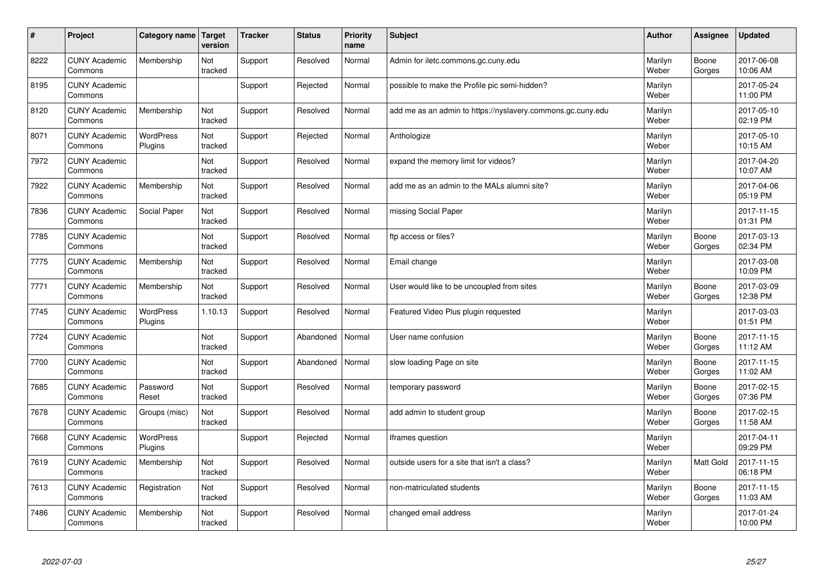| #    | Project                         | Category name               | Target<br>version | <b>Tracker</b> | <b>Status</b> | <b>Priority</b><br>name | <b>Subject</b>                                              | <b>Author</b>    | <b>Assignee</b>  | Updated                |
|------|---------------------------------|-----------------------------|-------------------|----------------|---------------|-------------------------|-------------------------------------------------------------|------------------|------------------|------------------------|
| 8222 | <b>CUNY Academic</b><br>Commons | Membership                  | Not<br>tracked    | Support        | Resolved      | Normal                  | Admin for iletc.commons.gc.cuny.edu                         | Marilyn<br>Weber | Boone<br>Gorges  | 2017-06-08<br>10:06 AM |
| 8195 | <b>CUNY Academic</b><br>Commons |                             |                   | Support        | Rejected      | Normal                  | possible to make the Profile pic semi-hidden?               | Marilyn<br>Weber |                  | 2017-05-24<br>11:00 PM |
| 8120 | <b>CUNY Academic</b><br>Commons | Membership                  | Not<br>tracked    | Support        | Resolved      | Normal                  | add me as an admin to https://nyslavery.commons.gc.cuny.edu | Marilyn<br>Weber |                  | 2017-05-10<br>02:19 PM |
| 8071 | <b>CUNY Academic</b><br>Commons | <b>WordPress</b><br>Plugins | Not<br>tracked    | Support        | Rejected      | Normal                  | Anthologize                                                 | Marilyn<br>Weber |                  | 2017-05-10<br>10:15 AM |
| 7972 | <b>CUNY Academic</b><br>Commons |                             | Not<br>tracked    | Support        | Resolved      | Normal                  | expand the memory limit for videos?                         | Marilyn<br>Weber |                  | 2017-04-20<br>10:07 AM |
| 7922 | <b>CUNY Academic</b><br>Commons | Membership                  | Not<br>tracked    | Support        | Resolved      | Normal                  | add me as an admin to the MALs alumni site?                 | Marilyn<br>Weber |                  | 2017-04-06<br>05:19 PM |
| 7836 | <b>CUNY Academic</b><br>Commons | Social Paper                | Not<br>tracked    | Support        | Resolved      | Normal                  | missing Social Paper                                        | Marilyn<br>Weber |                  | 2017-11-15<br>01:31 PM |
| 7785 | <b>CUNY Academic</b><br>Commons |                             | Not<br>tracked    | Support        | Resolved      | Normal                  | ftp access or files?                                        | Marilyn<br>Weber | Boone<br>Gorges  | 2017-03-13<br>02:34 PM |
| 7775 | <b>CUNY Academic</b><br>Commons | Membership                  | Not<br>tracked    | Support        | Resolved      | Normal                  | Email change                                                | Marilyn<br>Weber |                  | 2017-03-08<br>10:09 PM |
| 7771 | <b>CUNY Academic</b><br>Commons | Membership                  | Not<br>tracked    | Support        | Resolved      | Normal                  | User would like to be uncoupled from sites                  | Marilyn<br>Weber | Boone<br>Gorges  | 2017-03-09<br>12:38 PM |
| 7745 | <b>CUNY Academic</b><br>Commons | WordPress<br>Plugins        | 1.10.13           | Support        | Resolved      | Normal                  | Featured Video Plus plugin requested                        | Marilyn<br>Weber |                  | 2017-03-03<br>01:51 PM |
| 7724 | <b>CUNY Academic</b><br>Commons |                             | Not<br>tracked    | Support        | Abandoned     | Normal                  | User name confusion                                         | Marilyn<br>Weber | Boone<br>Gorges  | 2017-11-15<br>11:12 AM |
| 7700 | <b>CUNY Academic</b><br>Commons |                             | Not<br>tracked    | Support        | Abandoned     | Normal                  | slow loading Page on site                                   | Marilyn<br>Weber | Boone<br>Gorges  | 2017-11-15<br>11:02 AM |
| 7685 | <b>CUNY Academic</b><br>Commons | Password<br>Reset           | Not<br>tracked    | Support        | Resolved      | Normal                  | temporary password                                          | Marilyn<br>Weber | Boone<br>Gorges  | 2017-02-15<br>07:36 PM |
| 7678 | <b>CUNY Academic</b><br>Commons | Groups (misc)               | Not<br>tracked    | Support        | Resolved      | Normal                  | add admin to student group                                  | Marilyn<br>Weber | Boone<br>Gorges  | 2017-02-15<br>11:58 AM |
| 7668 | <b>CUNY Academic</b><br>Commons | <b>WordPress</b><br>Plugins |                   | Support        | Rejected      | Normal                  | Iframes question                                            | Marilyn<br>Weber |                  | 2017-04-11<br>09:29 PM |
| 7619 | <b>CUNY Academic</b><br>Commons | Membership                  | Not<br>tracked    | Support        | Resolved      | Normal                  | outside users for a site that isn't a class?                | Marilyn<br>Weber | <b>Matt Gold</b> | 2017-11-15<br>06:18 PM |
| 7613 | <b>CUNY Academic</b><br>Commons | Registration                | Not<br>tracked    | Support        | Resolved      | Normal                  | non-matriculated students                                   | Marilyn<br>Weber | Boone<br>Gorges  | 2017-11-15<br>11:03 AM |
| 7486 | <b>CUNY Academic</b><br>Commons | Membership                  | Not<br>tracked    | Support        | Resolved      | Normal                  | changed email address                                       | Marilyn<br>Weber |                  | 2017-01-24<br>10:00 PM |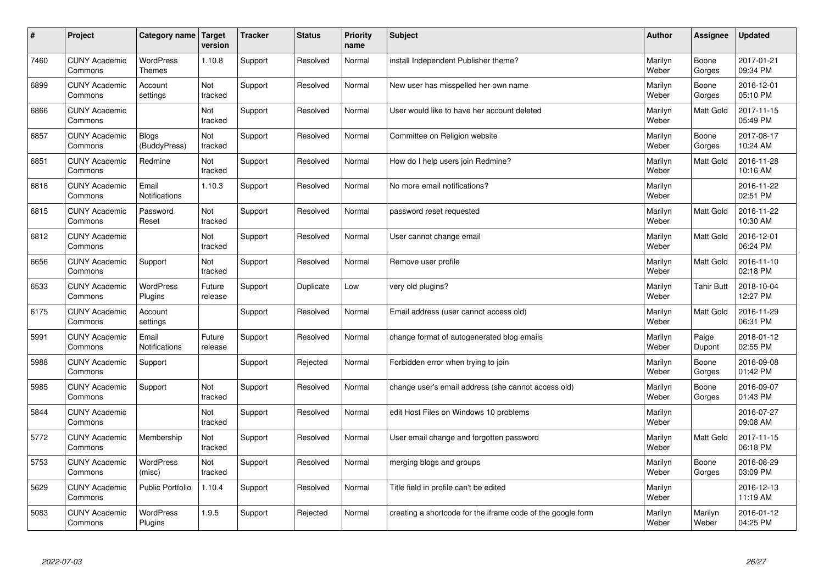| $\pmb{\#}$ | Project                         | Category name                     | <b>Target</b><br>version | <b>Tracker</b> | <b>Status</b> | <b>Priority</b><br>name | <b>Subject</b>                                              | <b>Author</b>    | Assignee          | <b>Updated</b>         |
|------------|---------------------------------|-----------------------------------|--------------------------|----------------|---------------|-------------------------|-------------------------------------------------------------|------------------|-------------------|------------------------|
| 7460       | <b>CUNY Academic</b><br>Commons | <b>WordPress</b><br><b>Themes</b> | 1.10.8                   | Support        | Resolved      | Normal                  | install Independent Publisher theme?                        | Marilyn<br>Weber | Boone<br>Gorges   | 2017-01-21<br>09:34 PM |
| 6899       | <b>CUNY Academic</b><br>Commons | Account<br>settings               | Not<br>tracked           | Support        | Resolved      | Normal                  | New user has misspelled her own name                        | Marilyn<br>Weber | Boone<br>Gorges   | 2016-12-01<br>05:10 PM |
| 6866       | <b>CUNY Academic</b><br>Commons |                                   | Not<br>tracked           | Support        | Resolved      | Normal                  | User would like to have her account deleted                 | Marilyn<br>Weber | Matt Gold         | 2017-11-15<br>05:49 PM |
| 6857       | <b>CUNY Academic</b><br>Commons | <b>Blogs</b><br>(BuddyPress)      | Not<br>tracked           | Support        | Resolved      | Normal                  | Committee on Religion website                               | Marilyn<br>Weber | Boone<br>Gorges   | 2017-08-17<br>10:24 AM |
| 6851       | <b>CUNY Academic</b><br>Commons | Redmine                           | Not<br>tracked           | Support        | Resolved      | Normal                  | How do I help users join Redmine?                           | Marilyn<br>Weber | <b>Matt Gold</b>  | 2016-11-28<br>10:16 AM |
| 6818       | <b>CUNY Academic</b><br>Commons | Email<br><b>Notifications</b>     | 1.10.3                   | Support        | Resolved      | Normal                  | No more email notifications?                                | Marilyn<br>Weber |                   | 2016-11-22<br>02:51 PM |
| 6815       | <b>CUNY Academic</b><br>Commons | Password<br>Reset                 | Not<br>tracked           | Support        | Resolved      | Normal                  | password reset requested                                    | Marilyn<br>Weber | Matt Gold         | 2016-11-22<br>10:30 AM |
| 6812       | <b>CUNY Academic</b><br>Commons |                                   | Not<br>tracked           | Support        | Resolved      | Normal                  | User cannot change email                                    | Marilyn<br>Weber | Matt Gold         | 2016-12-01<br>06:24 PM |
| 6656       | <b>CUNY Academic</b><br>Commons | Support                           | Not<br>tracked           | Support        | Resolved      | Normal                  | Remove user profile                                         | Marilyn<br>Weber | Matt Gold         | 2016-11-10<br>02:18 PM |
| 6533       | <b>CUNY Academic</b><br>Commons | WordPress<br>Plugins              | Future<br>release        | Support        | Duplicate     | Low                     | very old plugins?                                           | Marilyn<br>Weber | <b>Tahir Butt</b> | 2018-10-04<br>12:27 PM |
| 6175       | <b>CUNY Academic</b><br>Commons | Account<br>settings               |                          | Support        | Resolved      | Normal                  | Email address (user cannot access old)                      | Marilyn<br>Weber | Matt Gold         | 2016-11-29<br>06:31 PM |
| 5991       | <b>CUNY Academic</b><br>Commons | Email<br>Notifications            | Future<br>release        | Support        | Resolved      | Normal                  | change format of autogenerated blog emails                  | Marilyn<br>Weber | Paige<br>Dupont   | 2018-01-12<br>02:55 PM |
| 5988       | <b>CUNY Academic</b><br>Commons | Support                           |                          | Support        | Rejected      | Normal                  | Forbidden error when trying to join                         | Marilyn<br>Weber | Boone<br>Gorges   | 2016-09-08<br>01:42 PM |
| 5985       | <b>CUNY Academic</b><br>Commons | Support                           | Not<br>tracked           | Support        | Resolved      | Normal                  | change user's email address (she cannot access old)         | Marilyn<br>Weber | Boone<br>Gorges   | 2016-09-07<br>01:43 PM |
| 5844       | <b>CUNY Academic</b><br>Commons |                                   | Not<br>tracked           | Support        | Resolved      | Normal                  | edit Host Files on Windows 10 problems                      | Marilyn<br>Weber |                   | 2016-07-27<br>09:08 AM |
| 5772       | <b>CUNY Academic</b><br>Commons | Membership                        | Not<br>tracked           | Support        | Resolved      | Normal                  | User email change and forgotten password                    | Marilyn<br>Weber | Matt Gold         | 2017-11-15<br>06:18 PM |
| 5753       | <b>CUNY Academic</b><br>Commons | WordPress<br>(misc)               | Not<br>tracked           | Support        | Resolved      | Normal                  | merging blogs and groups                                    | Marilyn<br>Weber | Boone<br>Gorges   | 2016-08-29<br>03:09 PM |
| 5629       | <b>CUNY Academic</b><br>Commons | <b>Public Portfolio</b>           | 1.10.4                   | Support        | Resolved      | Normal                  | Title field in profile can't be edited                      | Marilyn<br>Weber |                   | 2016-12-13<br>11:19 AM |
| 5083       | <b>CUNY Academic</b><br>Commons | <b>WordPress</b><br>Plugins       | 1.9.5                    | Support        | Rejected      | Normal                  | creating a shortcode for the iframe code of the google form | Marilyn<br>Weber | Marilyn<br>Weber  | 2016-01-12<br>04:25 PM |